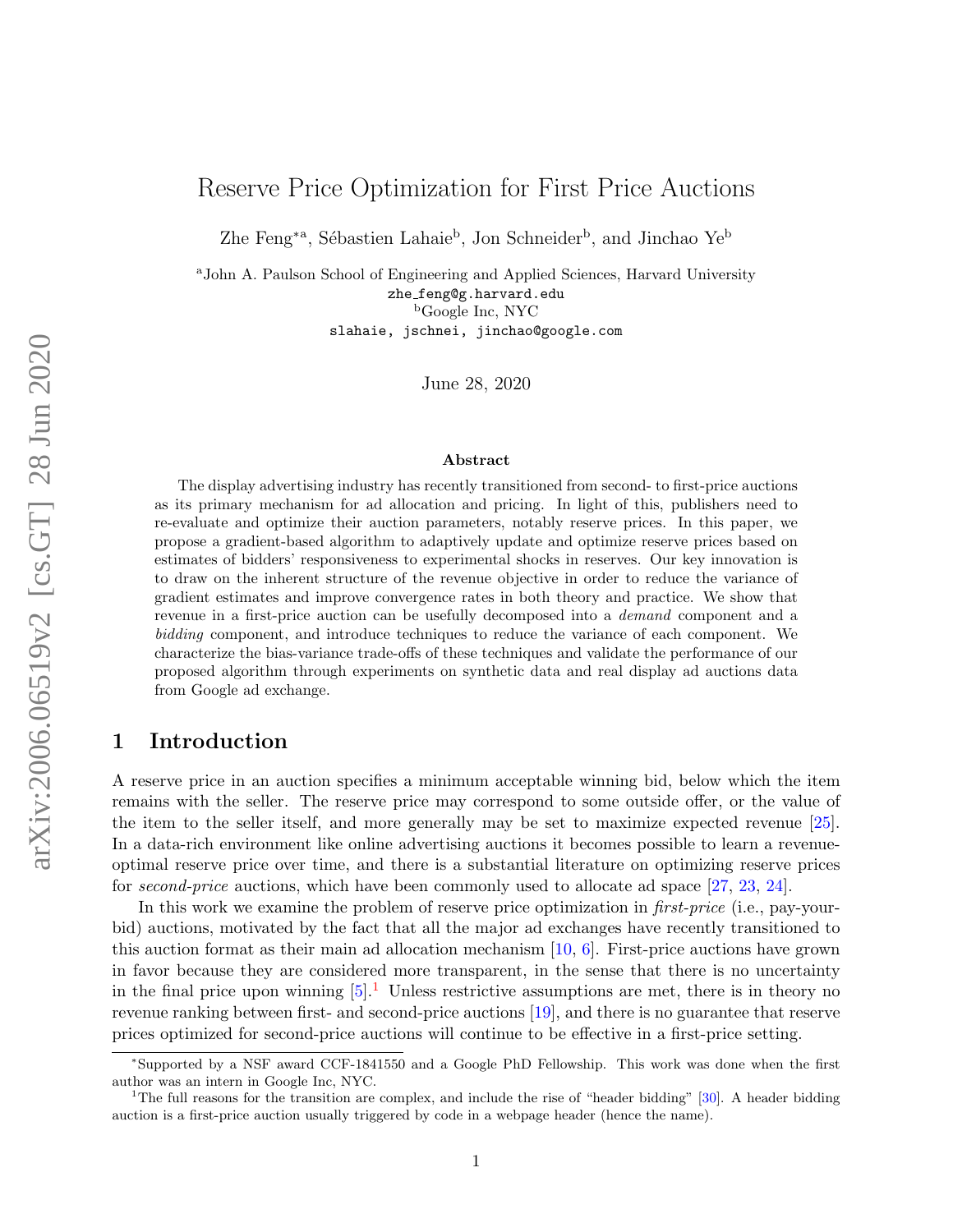# Reserve Price Optimization for First Price Auctions

Zhe Feng<sup>∗a</sup>, Sébastien Lahaie<sup>b</sup>, Jon Schneider<sup>b</sup>, and Jinchao Ye<sup>b</sup>

<sup>a</sup>John A. Paulson School of Engineering and Applied Sciences, Harvard University zhe feng@g.harvard.edu <sup>b</sup>Google Inc, NYC slahaie, jschnei, jinchao@google.com

June 28, 2020

#### Abstract

The display advertising industry has recently transitioned from second- to first-price auctions as its primary mechanism for ad allocation and pricing. In light of this, publishers need to re-evaluate and optimize their auction parameters, notably reserve prices. In this paper, we propose a gradient-based algorithm to adaptively update and optimize reserve prices based on estimates of bidders' responsiveness to experimental shocks in reserves. Our key innovation is to draw on the inherent structure of the revenue objective in order to reduce the variance of gradient estimates and improve convergence rates in both theory and practice. We show that revenue in a first-price auction can be usefully decomposed into a demand component and a bidding component, and introduce techniques to reduce the variance of each component. We characterize the bias-variance trade-offs of these techniques and validate the performance of our proposed algorithm through experiments on synthetic data and real display ad auctions data from Google ad exchange.

### 1 Introduction

A reserve price in an auction specifies a minimum acceptable winning bid, below which the item remains with the seller. The reserve price may correspond to some outside offer, or the value of the item to the seller itself, and more generally may be set to maximize expected revenue [\[25\]](#page-11-0). In a data-rich environment like online advertising auctions it becomes possible to learn a revenueoptimal reserve price over time, and there is a substantial literature on optimizing reserve prices for second-price auctions, which have been commonly used to allocate ad space [\[27,](#page-11-1) [23,](#page-11-2) [24\]](#page-11-3).

In this work we examine the problem of reserve price optimization in *first-price* (i.e., pay-yourbid) auctions, motivated by the fact that all the major ad exchanges have recently transitioned to this auction format as their main ad allocation mechanism [\[10,](#page-10-0) [6\]](#page-10-1). First-price auctions have grown in favor because they are considered more transparent, in the sense that there is no uncertainty in the final price upon winning  $[5].<sup>1</sup>$  $[5].<sup>1</sup>$  $[5].<sup>1</sup>$  $[5].<sup>1</sup>$  Unless restrictive assumptions are met, there is in theory no revenue ranking between first- and second-price auctions [\[19\]](#page-11-4), and there is no guarantee that reserve prices optimized for second-price auctions will continue to be effective in a first-price setting.

<sup>∗</sup>Supported by a NSF award CCF-1841550 and a Google PhD Fellowship. This work was done when the first author was an intern in Google Inc, NYC.

<span id="page-0-0"></span><sup>&</sup>lt;sup>1</sup>The full reasons for the transition are complex, and include the rise of "header bidding" [\[30\]](#page-12-0). A header bidding auction is a first-price auction usually triggered by code in a webpage header (hence the name).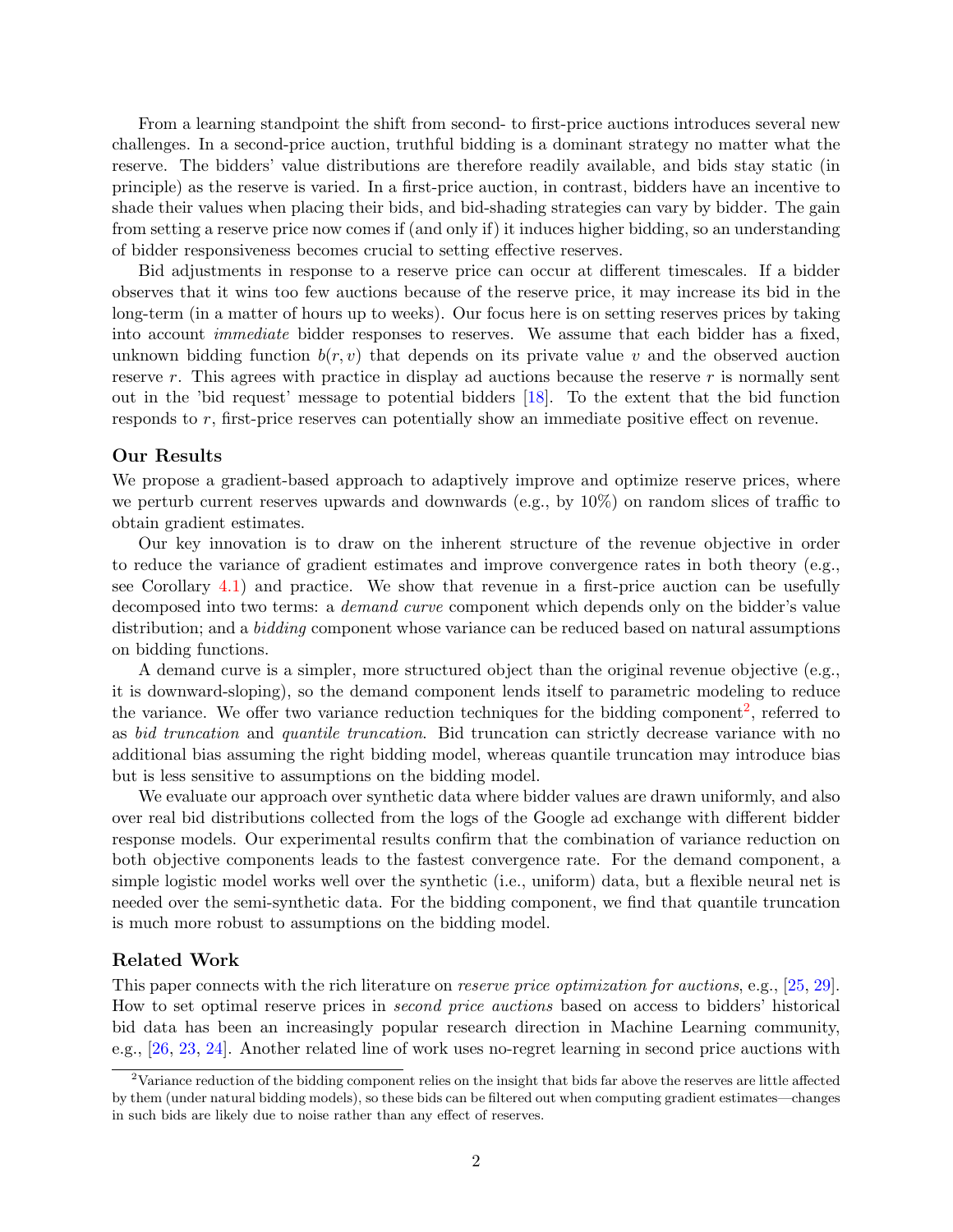From a learning standpoint the shift from second- to first-price auctions introduces several new challenges. In a second-price auction, truthful bidding is a dominant strategy no matter what the reserve. The bidders' value distributions are therefore readily available, and bids stay static (in principle) as the reserve is varied. In a first-price auction, in contrast, bidders have an incentive to shade their values when placing their bids, and bid-shading strategies can vary by bidder. The gain from setting a reserve price now comes if (and only if) it induces higher bidding, so an understanding of bidder responsiveness becomes crucial to setting effective reserves.

Bid adjustments in response to a reserve price can occur at different timescales. If a bidder observes that it wins too few auctions because of the reserve price, it may increase its bid in the long-term (in a matter of hours up to weeks). Our focus here is on setting reserves prices by taking into account immediate bidder responses to reserves. We assume that each bidder has a fixed, unknown bidding function  $b(r, v)$  that depends on its private value v and the observed auction reserve  $r$ . This agrees with practice in display ad auctions because the reserve  $r$  is normally sent out in the 'bid request' message to potential bidders [\[18\]](#page-11-5). To the extent that the bid function responds to r, first-price reserves can potentially show an immediate positive effect on revenue.

#### Our Results

We propose a gradient-based approach to adaptively improve and optimize reserve prices, where we perturb current reserves upwards and downwards (e.g., by 10%) on random slices of traffic to obtain gradient estimates.

Our key innovation is to draw on the inherent structure of the revenue objective in order to reduce the variance of gradient estimates and improve convergence rates in both theory (e.g., see Corollary [4.1\)](#page-7-0) and practice. We show that revenue in a first-price auction can be usefully decomposed into two terms: a demand curve component which depends only on the bidder's value distribution; and a *bidding* component whose variance can be reduced based on natural assumptions on bidding functions.

A demand curve is a simpler, more structured object than the original revenue objective (e.g., it is downward-sloping), so the demand component lends itself to parametric modeling to reduce the variance. We offer two variance reduction techniques for the bidding component<sup>[2](#page-1-0)</sup>, referred to as bid truncation and quantile truncation. Bid truncation can strictly decrease variance with no additional bias assuming the right bidding model, whereas quantile truncation may introduce bias but is less sensitive to assumptions on the bidding model.

We evaluate our approach over synthetic data where bidder values are drawn uniformly, and also over real bid distributions collected from the logs of the Google ad exchange with different bidder response models. Our experimental results confirm that the combination of variance reduction on both objective components leads to the fastest convergence rate. For the demand component, a simple logistic model works well over the synthetic (i.e., uniform) data, but a flexible neural net is needed over the semi-synthetic data. For the bidding component, we find that quantile truncation is much more robust to assumptions on the bidding model.

#### Related Work

This paper connects with the rich literature on reserve price optimization for auctions, e.g., [\[25,](#page-11-0) [29\]](#page-11-6). How to set optimal reserve prices in second price auctions based on access to bidders' historical bid data has been an increasingly popular research direction in Machine Learning community, e.g., [\[26,](#page-11-7) [23,](#page-11-2) [24\]](#page-11-3). Another related line of work uses no-regret learning in second price auctions with

<span id="page-1-0"></span><sup>&</sup>lt;sup>2</sup>Variance reduction of the bidding component relies on the insight that bids far above the reserves are little affected by them (under natural bidding models), so these bids can be filtered out when computing gradient estimates—changes in such bids are likely due to noise rather than any effect of reserves.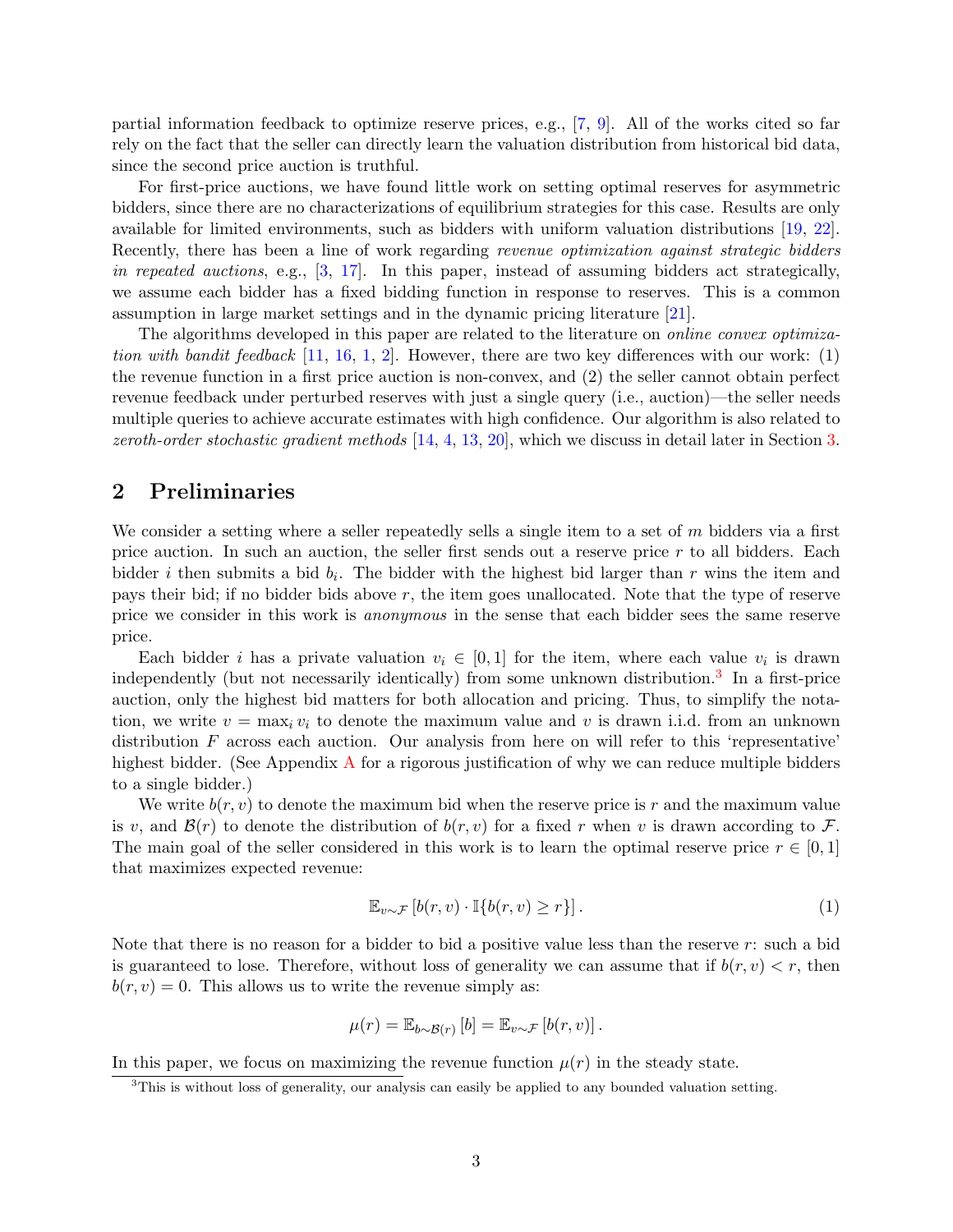partial information feedback to optimize reserve prices, e.g., [\[7,](#page-10-3) [9\]](#page-10-4). All of the works cited so far rely on the fact that the seller can directly learn the valuation distribution from historical bid data, since the second price auction is truthful.

For first-price auctions, we have found little work on setting optimal reserves for asymmetric bidders, since there are no characterizations of equilibrium strategies for this case. Results are only available for limited environments, such as bidders with uniform valuation distributions [\[19,](#page-11-4) [22\]](#page-11-8). Recently, there has been a line of work regarding *revenue optimization against strategic bidders* in repeated auctions, e.g.,  $[3, 17]$  $[3, 17]$  $[3, 17]$ . In this paper, instead of assuming bidders act strategically, we assume each bidder has a fixed bidding function in response to reserves. This is a common assumption in large market settings and in the dynamic pricing literature [\[21\]](#page-11-10).

The algorithms developed in this paper are related to the literature on *online convex optimiza*-tion with bandit feedback [\[11,](#page-10-6) [16,](#page-11-11) [1,](#page-10-7) [2\]](#page-10-8). However, there are two key differences with our work:  $(1)$ the revenue function in a first price auction is non-convex, and (2) the seller cannot obtain perfect revenue feedback under perturbed reserves with just a single query (i.e., auction)—the seller needs multiple queries to achieve accurate estimates with high confidence. Our algorithm is also related to zeroth-order stochastic gradient methods  $[14, 4, 13, 20]$  $[14, 4, 13, 20]$  $[14, 4, 13, 20]$  $[14, 4, 13, 20]$  $[14, 4, 13, 20]$  $[14, 4, 13, 20]$  $[14, 4, 13, 20]$ , which we discuss in detail later in Section [3.](#page-3-0)

### 2 Preliminaries

We consider a setting where a seller repeatedly sells a single item to a set of  $m$  bidders via a first price auction. In such an auction, the seller first sends out a reserve price r to all bidders. Each bidder *i* then submits a bid  $b_i$ . The bidder with the highest bid larger than r wins the item and pays their bid; if no bidder bids above  $r$ , the item goes unallocated. Note that the type of reserve price we consider in this work is anonymous in the sense that each bidder sees the same reserve price.

Each bidder *i* has a private valuation  $v_i \in [0,1]$  for the item, where each value  $v_i$  is drawn independently (but not necessarily identically) from some unknown distribution.<sup>[3](#page-2-0)</sup> In a first-price auction, only the highest bid matters for both allocation and pricing. Thus, to simplify the notation, we write  $v = \max_i v_i$  to denote the maximum value and v is drawn i.i.d. from an unknown distribution  $F$  across each auction. Our analysis from here on will refer to this 'representative' highest bidder. (See [A](#page-13-0)ppendix A for a rigorous justification of why we can reduce multiple bidders to a single bidder.)

We write  $b(r, v)$  to denote the maximum bid when the reserve price is r and the maximum value is v, and  $\mathcal{B}(r)$  to denote the distribution of  $b(r, v)$  for a fixed r when v is drawn according to F. The main goal of the seller considered in this work is to learn the optimal reserve price  $r \in [0,1]$ that maximizes expected revenue:

$$
\mathbb{E}_{v \sim \mathcal{F}}\left[b(r, v) \cdot \mathbb{I}\{b(r, v) \ge r\}\right].\tag{1}
$$

Note that there is no reason for a bidder to bid a positive value less than the reserve  $r$ : such a bid is guaranteed to lose. Therefore, without loss of generality we can assume that if  $b(r, v) < r$ , then  $b(r, v) = 0$ . This allows us to write the revenue simply as:

$$
\mu(r) = \mathbb{E}_{b \sim \mathcal{B}(r)} [b] = \mathbb{E}_{v \sim \mathcal{F}} [b(r, v)].
$$

In this paper, we focus on maximizing the revenue function  $\mu(r)$  in the steady state.

<span id="page-2-0"></span><sup>&</sup>lt;sup>3</sup>This is without loss of generality, our analysis can easily be applied to any bounded valuation setting.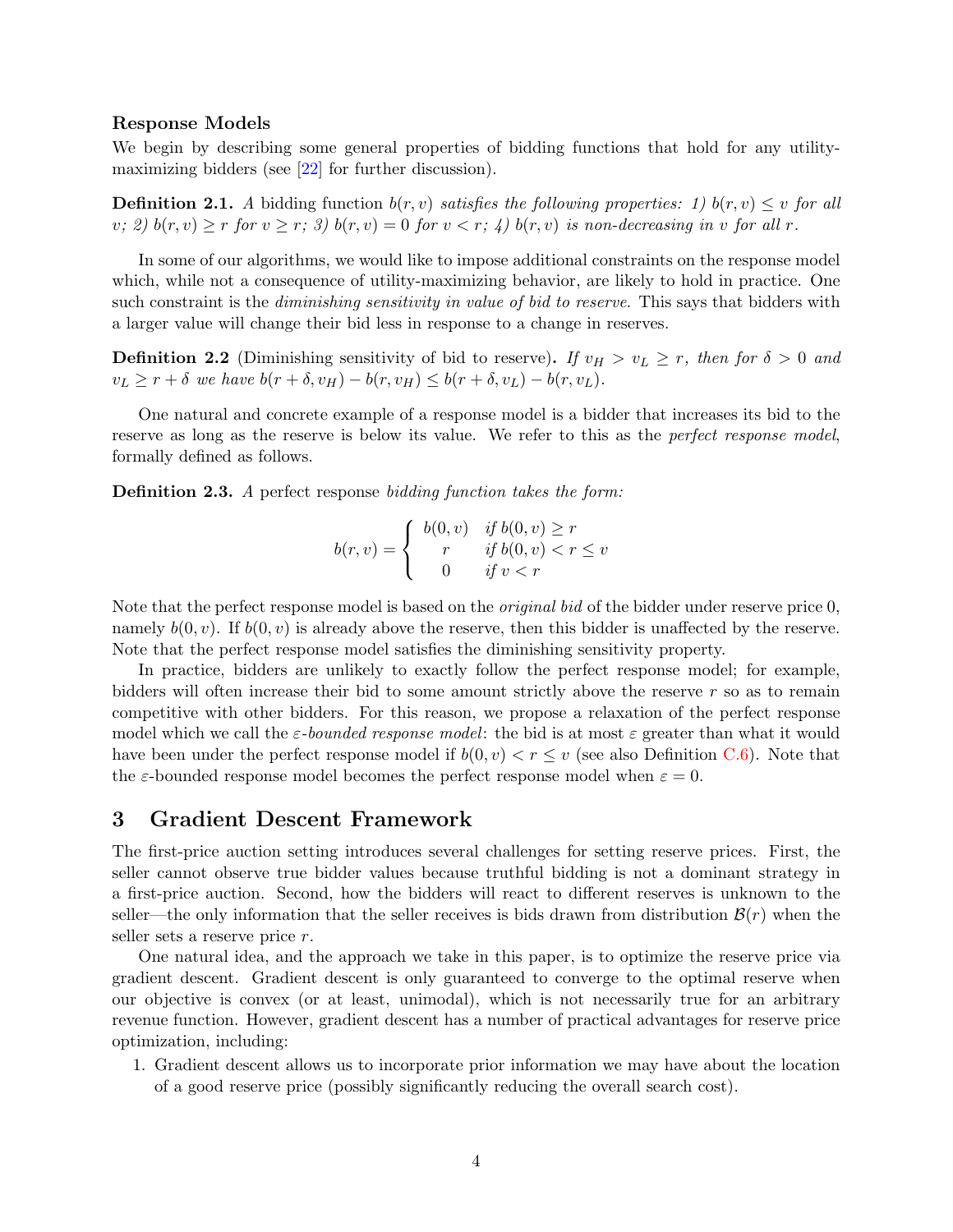#### Response Models

We begin by describing some general properties of bidding functions that hold for any utilitymaximizing bidders (see [\[22\]](#page-11-8) for further discussion).

<span id="page-3-1"></span>**Definition 2.1.** A bidding function  $b(r, v)$  satisfies the following properties: 1)  $b(r, v) \leq v$  for all v; 2)  $b(r, v) \ge r$  for  $v \ge r$ ; 3)  $b(r, v) = 0$  for  $v < r$ ; 4)  $b(r, v)$  is non-decreasing in v for all r.

In some of our algorithms, we would like to impose additional constraints on the response model which, while not a consequence of utility-maximizing behavior, are likely to hold in practice. One such constraint is the *diminishing sensitivity in value of bid to reserve*. This says that bidders with a larger value will change their bid less in response to a change in reserves.

**Definition 2.2** (Diminishing sensitivity of bid to reserve). If  $v_H > v_L \ge r$ , then for  $\delta > 0$  and  $v_L \geq r + \delta$  we have  $b(r + \delta, v_H) - b(r, v_H) \leq b(r + \delta, v_L) - b(r, v_L)$ .

One natural and concrete example of a response model is a bidder that increases its bid to the reserve as long as the reserve is below its value. We refer to this as the *perfect response model*, formally defined as follows.

Definition 2.3. A perfect response bidding function takes the form:

$$
b(r,v) = \begin{cases} b(0,v) & \text{if } b(0,v) \ge r \\ r & \text{if } b(0,v) < r \le v \\ 0 & \text{if } v < r \end{cases}
$$

Note that the perfect response model is based on the *original bid* of the bidder under reserve price 0, namely  $b(0, v)$ . If  $b(0, v)$  is already above the reserve, then this bidder is unaffected by the reserve. Note that the perfect response model satisfies the diminishing sensitivity property.

In practice, bidders are unlikely to exactly follow the perfect response model; for example, bidders will often increase their bid to some amount strictly above the reserve  $r$  so as to remain competitive with other bidders. For this reason, we propose a relaxation of the perfect response model which we call the  $\varepsilon$ -bounded response model: the bid is at most  $\varepsilon$  greater than what it would have been under the perfect response model if  $b(0, v) < r \le v$  (see also Definition [C.6\)](#page-18-0). Note that the  $\varepsilon$ -bounded response model becomes the perfect response model when  $\varepsilon = 0$ .

### <span id="page-3-0"></span>3 Gradient Descent Framework

The first-price auction setting introduces several challenges for setting reserve prices. First, the seller cannot observe true bidder values because truthful bidding is not a dominant strategy in a first-price auction. Second, how the bidders will react to different reserves is unknown to the seller—the only information that the seller receives is bids drawn from distribution  $\mathcal{B}(r)$  when the seller sets a reserve price r.

One natural idea, and the approach we take in this paper, is to optimize the reserve price via gradient descent. Gradient descent is only guaranteed to converge to the optimal reserve when our objective is convex (or at least, unimodal), which is not necessarily true for an arbitrary revenue function. However, gradient descent has a number of practical advantages for reserve price optimization, including:

1. Gradient descent allows us to incorporate prior information we may have about the location of a good reserve price (possibly significantly reducing the overall search cost).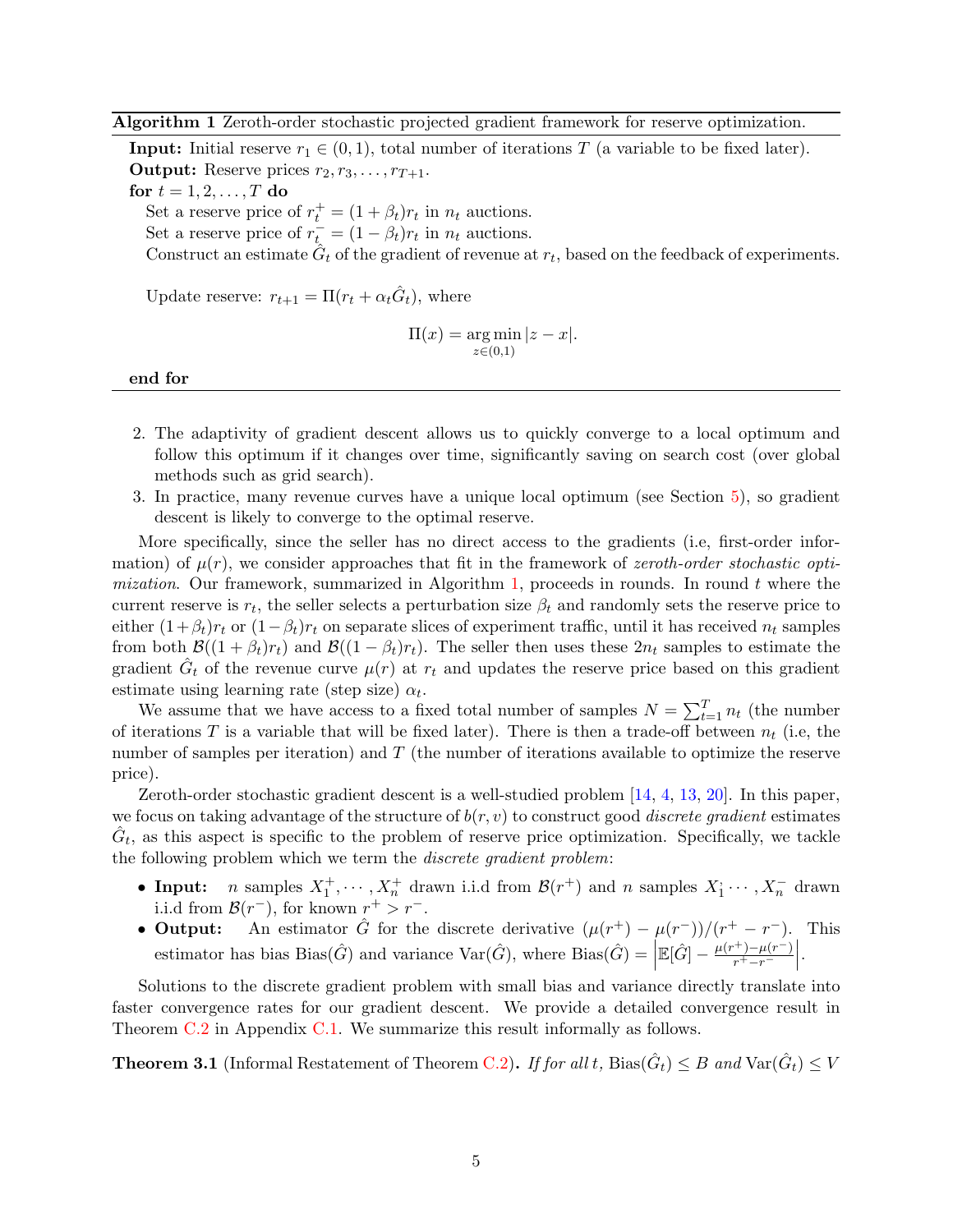<span id="page-4-0"></span>Algorithm 1 Zeroth-order stochastic projected gradient framework for reserve optimization.

**Input:** Initial reserve  $r_1 \in (0,1)$ , total number of iterations T (a variable to be fixed later). **Output:** Reserve prices  $r_2, r_3, \ldots, r_{T+1}$ . for  $t = 1, 2, \ldots, T$  do Set a reserve price of  $r_t^+ = (1 + \beta_t)r_t$  in  $n_t$  auctions. Set a reserve price of  $r_{t}^- = (1 - \beta_t)r_t$  in  $n_t$  auctions. Construct an estimate  $\hat{G}_t$  of the gradient of revenue at  $r_t$ , based on the feedback of experiments. Update reserve:  $r_{t+1} = \Pi(r_t + \alpha_t \hat{G}_t)$ , where

$$
\Pi(x) = \underset{z \in (0,1)}{\arg \min} |z - x|.
$$

end for

- 2. The adaptivity of gradient descent allows us to quickly converge to a local optimum and follow this optimum if it changes over time, significantly saving on search cost (over global methods such as grid search).
- 3. In practice, many revenue curves have a unique local optimum (see Section [5\)](#page-8-0), so gradient descent is likely to converge to the optimal reserve.

More specifically, since the seller has no direct access to the gradients (i.e, first-order information) of  $\mu(r)$ , we consider approaches that fit in the framework of *zeroth-order stochastic opti-*mization. Our framework, summarized in Algorithm [1,](#page-4-0) proceeds in rounds. In round  $t$  where the current reserve is  $r_t$ , the seller selects a perturbation size  $\beta_t$  and randomly sets the reserve price to either  $(1+\beta_t)r_t$  or  $(1-\beta_t)r_t$  on separate slices of experiment traffic, until it has received  $n_t$  samples from both  $\mathcal{B}((1+\beta_t)r_t)$  and  $\mathcal{B}((1-\beta_t)r_t)$ . The seller then uses these  $2n_t$  samples to estimate the gradient  $\hat{G}_t$  of the revenue curve  $\mu(r)$  at  $r_t$  and updates the reserve price based on this gradient estimate using learning rate (step size)  $\alpha_t$ .

We assume that we have access to a fixed total number of samples  $N = \sum_{t=1}^{T} n_t$  (the number of iterations T is a variable that will be fixed later). There is then a trade-off between  $n_t$  (i.e, the number of samples per iteration) and T (the number of iterations available to optimize the reserve price).

Zeroth-order stochastic gradient descent is a well-studied problem [\[14,](#page-11-12) [4,](#page-10-9) [13,](#page-10-10) [20\]](#page-11-13). In this paper, we focus on taking advantage of the structure of  $b(r, v)$  to construct good *discrete gradient* estimates  $\hat{G}_t$ , as this aspect is specific to the problem of reserve price optimization. Specifically, we tackle the following problem which we term the discrete gradient problem:

- Input: *n* samples  $X_1^+$ ,  $\cdots$ ,  $X_n^+$  drawn i.i.d from  $\mathcal{B}(r^+)$  and *n* samples  $X_1^+$  $X_1^{\cdot} \cdots, X_n^{\cdot}$  drawn i.i.d from  $\mathcal{B}(r^-)$ , for known  $r^+ > r^-$ .
- Output: An estimator  $\hat{G}$  for the discrete derivative  $(\mu(r^+) \mu(r^-))/(r^+ r^-)$ . This estimator has bias  $Bias(\hat{G})$  and variance  $Var(\hat{G})$ , where  $Bias(\hat{G}) =$  $\mathbb{E}[\hat{G}] - \frac{\mu(r^{+}) - \mu(r^{-})}{r^{+} - r^{-}}$  $r^+$ − $r^ \Big\}$ .

Solutions to the discrete gradient problem with small bias and variance directly translate into faster convergence rates for our gradient descent. We provide a detailed convergence result in Theorem [C.2](#page-14-0) in Appendix [C.1.](#page-13-1) We summarize this result informally as follows.

<span id="page-4-1"></span>**Theorem 3.1** (Informal Restatement of Theorem [C.2\)](#page-14-0). If for all t,  $Bias(\hat{G}_t) \leq B$  and  $Var(\hat{G}_t) \leq V$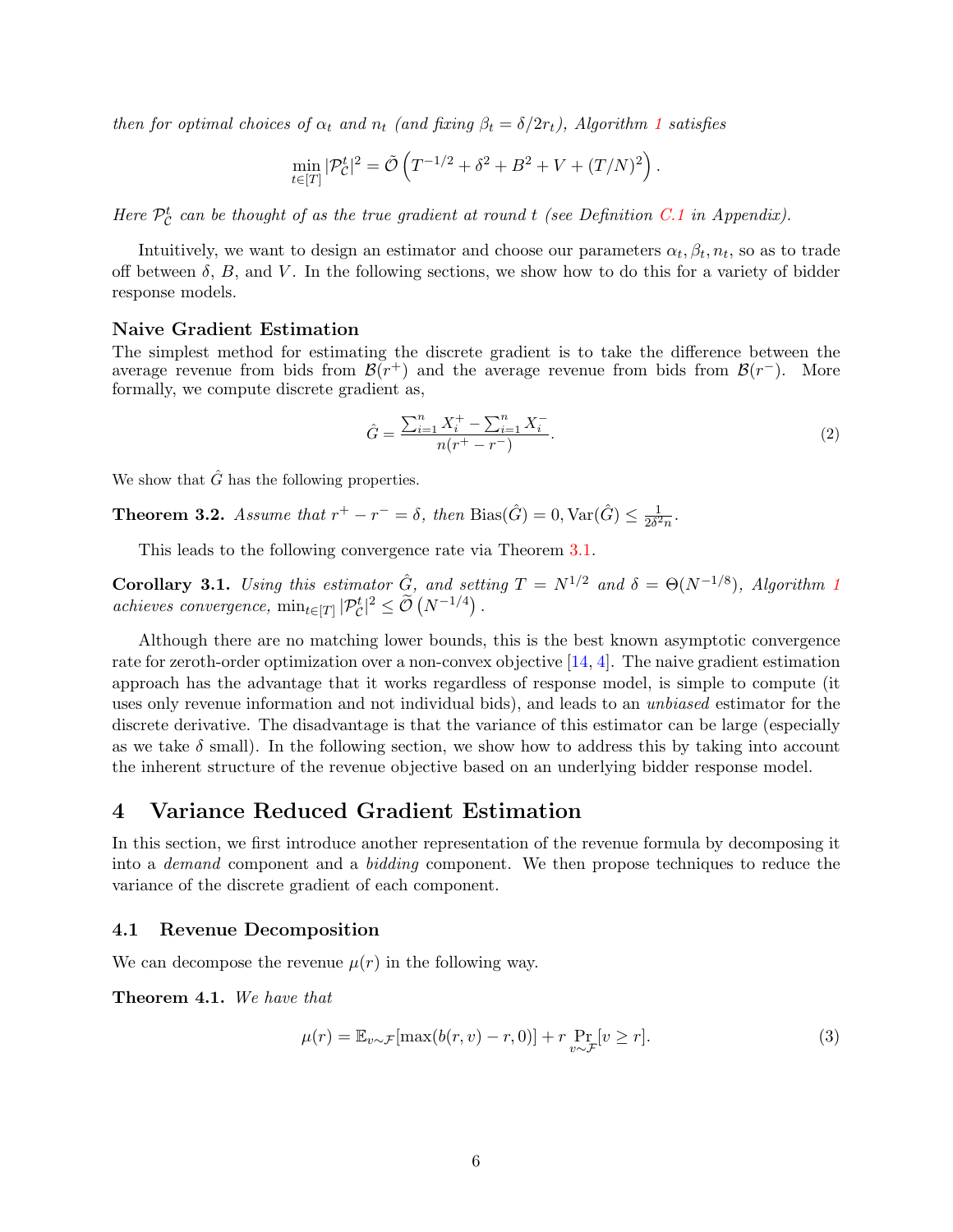then for optimal choices of  $\alpha_t$  and  $n_t$  (and fixing  $\beta_t = \delta/2r_t$ ), Algorithm [1](#page-4-0) satisfies

$$
\min_{t \in [T]} |\mathcal{P}_\mathcal{C}^t|^2 = \tilde{\mathcal{O}} \left( T^{-1/2} + \delta^2 + B^2 + V + (T/N)^2 \right).
$$

Here  $\mathcal{P}_{\mathcal{C}}^{t}$  can be thought of as the true gradient at round t (see Definition [C.1](#page-14-1) in Appendix).

Intuitively, we want to design an estimator and choose our parameters  $\alpha_t, \beta_t, n_t$ , so as to trade off between  $\delta$ , B, and V. In the following sections, we show how to do this for a variety of bidder response models.

#### Naive Gradient Estimation

The simplest method for estimating the discrete gradient is to take the difference between the average revenue from bids from  $\mathcal{B}(r^+)$  and the average revenue from bids from  $\mathcal{B}(r^-)$ . More formally, we compute discrete gradient as,

<span id="page-5-1"></span>
$$
\hat{G} = \frac{\sum_{i=1}^{n} X_i^+ - \sum_{i=1}^{n} X_i^-}{n(r^+ - r^-)}.
$$
\n(2)

We show that  $\hat{G}$  has the following properties.

<span id="page-5-3"></span>**Theorem 3.2.** Assume that  $r^+ - r^- = \delta$ , then  $\text{Bias}(\hat{G}) = 0, \text{Var}(\hat{G}) \leq \frac{1}{2\delta^2}$  $\frac{1}{2\delta^2 n}$ .

This leads to the following convergence rate via Theorem [3.1.](#page-4-1)

<span id="page-5-0"></span>**Corollary 3.[1](#page-4-0).** Using this estimator  $\hat{G}$ , and setting  $T = N^{1/2}$  and  $\delta = \Theta(N^{-1/8})$ , Algorithm 1 achieves convergence,  $\min_{t \in [T]} |\mathcal{P}_\mathcal{C}^t|^2 \le \tilde{\mathcal{O}}(N^{-1/4})$ .

Although there are no matching lower bounds, this is the best known asymptotic convergence rate for zeroth-order optimization over a non-convex objective [\[14,](#page-11-12) [4\]](#page-10-9). The naive gradient estimation approach has the advantage that it works regardless of response model, is simple to compute (it uses only revenue information and not individual bids), and leads to an unbiased estimator for the discrete derivative. The disadvantage is that the variance of this estimator can be large (especially as we take  $\delta$  small). In the following section, we show how to address this by taking into account the inherent structure of the revenue objective based on an underlying bidder response model.

### <span id="page-5-2"></span>4 Variance Reduced Gradient Estimation

In this section, we first introduce another representation of the revenue formula by decomposing it into a demand component and a bidding component. We then propose techniques to reduce the variance of the discrete gradient of each component.

#### 4.1 Revenue Decomposition

We can decompose the revenue  $\mu(r)$  in the following way.

<span id="page-5-4"></span>Theorem 4.1. We have that

$$
\mu(r) = \mathbb{E}_{v \sim \mathcal{F}}[\max(b(r, v) - r, 0)] + r \Pr_{v \sim \mathcal{F}}[v \ge r]. \tag{3}
$$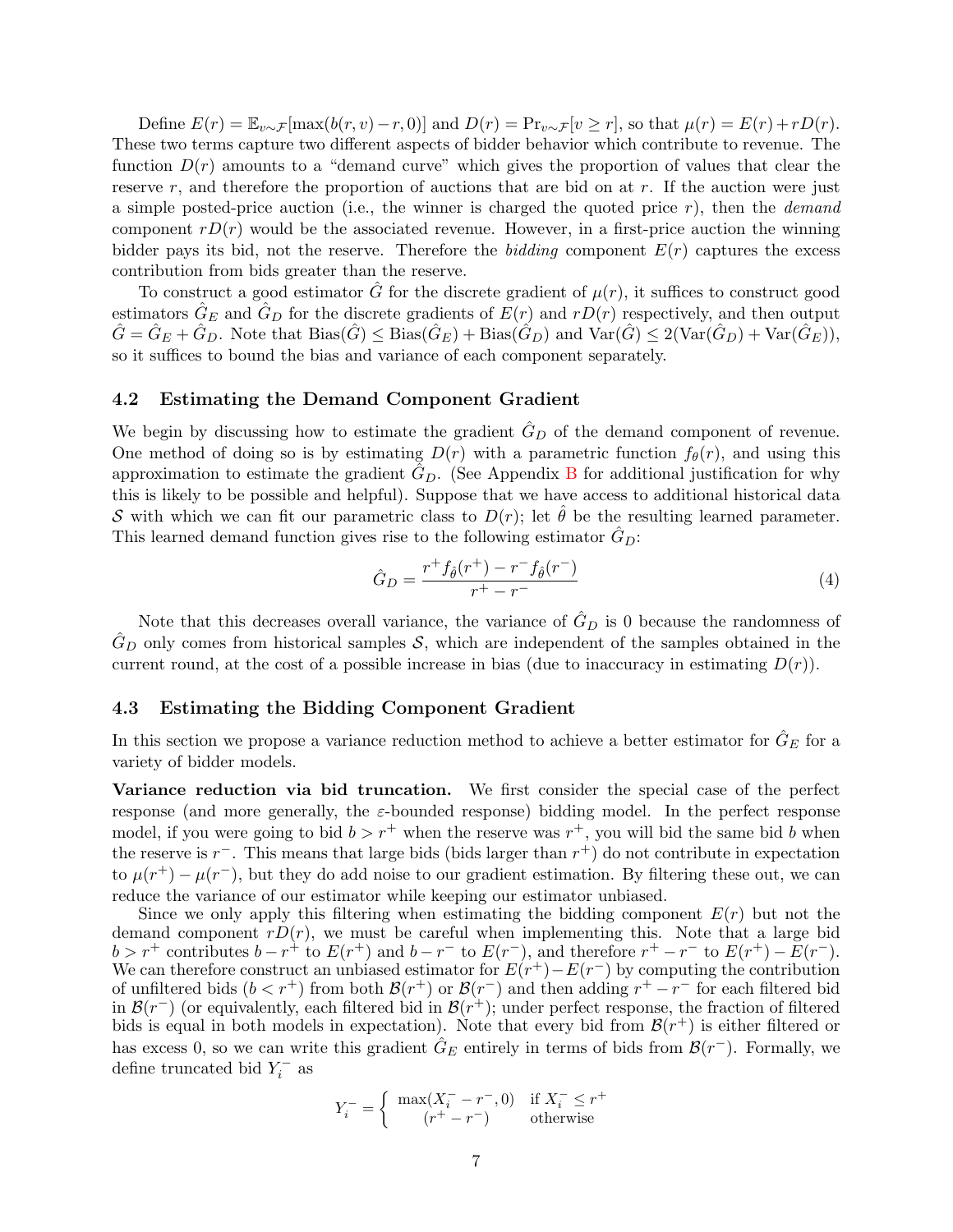Define  $E(r) = \mathbb{E}_{v \sim \mathcal{F}}[\max(b(r, v) - r, 0)]$  and  $D(r) = \Pr_{v \sim \mathcal{F}}[v \ge r]$ , so that  $\mu(r) = E(r) + rD(r)$ . These two terms capture two different aspects of bidder behavior which contribute to revenue. The function  $D(r)$  amounts to a "demand curve" which gives the proportion of values that clear the reserve  $r$ , and therefore the proportion of auctions that are bid on at  $r$ . If the auction were just a simple posted-price auction (i.e., the winner is charged the quoted price  $r$ ), then the *demand* component  $rD(r)$  would be the associated revenue. However, in a first-price auction the winning bidder pays its bid, not the reserve. Therefore the bidding component  $E(r)$  captures the excess contribution from bids greater than the reserve.

To construct a good estimator  $\hat{G}$  for the discrete gradient of  $\mu(r)$ , it suffices to construct good estimators  $\hat{G}_E$  and  $\hat{G}_D$  for the discrete gradients of  $E(r)$  and  $rD(r)$  respectively, and then output  $\hat{G} = \hat{G}_E + \hat{G}_D$ . Note that  $\text{Bias}(\hat{G}) \leq \text{Bias}(\hat{G}_E) + \text{Bias}(\hat{G}_D)$  and  $\text{Var}(\hat{G}) \leq 2(\text{Var}(\hat{G}_D) + \text{Var}(\hat{G}_E)),$ so it suffices to bound the bias and variance of each component separately.

#### 4.2 Estimating the Demand Component Gradient

We begin by discussing how to estimate the gradient  $\hat{G}_D$  of the demand component of revenue. One method of doing so is by estimating  $D(r)$  with a parametric function  $f_{\theta}(r)$ , and using this approximation to estimate the gradient  $\tilde{G}_D$ . (See Appendix [B](#page-13-2) for additional justification for why this is likely to be possible and helpful). Suppose that we have access to additional historical data S with which we can fit our parametric class to  $D(r)$ ; let  $\hat{\theta}$  be the resulting learned parameter. This learned demand function gives rise to the following estimator  $\hat{G}_D$ :

<span id="page-6-0"></span>
$$
\hat{G}_D = \frac{r^+ f_{\hat{\theta}}(r^+) - r^- f_{\hat{\theta}}(r^-)}{r^+ - r^-} \tag{4}
$$

Note that this decreases overall variance, the variance of  $\hat{G}_D$  is 0 because the randomness of  $\hat{G}_D$  only comes from historical samples S, which are independent of the samples obtained in the current round, at the cost of a possible increase in bias (due to inaccuracy in estimating  $D(r)$ ).

#### 4.3 Estimating the Bidding Component Gradient

In this section we propose a variance reduction method to achieve a better estimator for  $\hat{G}_E$  for a variety of bidder models.

Variance reduction via bid truncation. We first consider the special case of the perfect response (and more generally, the  $\varepsilon$ -bounded response) bidding model. In the perfect response model, if you were going to bid  $b > r^+$  when the reserve was  $r^+$ , you will bid the same bid b when the reserve is  $r^-$ . This means that large bids (bids larger than  $r^+$ ) do not contribute in expectation to  $\mu(r^+) - \mu(r^-)$ , but they do add noise to our gradient estimation. By filtering these out, we can reduce the variance of our estimator while keeping our estimator unbiased.

Since we only apply this filtering when estimating the bidding component  $E(r)$  but not the demand component  $rD(r)$ , we must be careful when implementing this. Note that a large bid  $b > r^+$  contributes  $b - r^+$  to  $E(r^+)$  and  $b - r^-$  to  $E(r^-)$ , and therefore  $r^+ - r^-$  to  $E(r^+) - \widetilde{E}(r^-)$ . We can therefore construct an unbiased estimator for  $E(r^+) - E(r^-)$  by computing the contribution of unfiltered bids  $(b < r^+)$  from both  $\mathcal{B}(r^+)$  or  $\mathcal{B}(r^-)$  and then adding  $r^+ - r^-$  for each filtered bid in  $\mathcal{B}(r^-)$  (or equivalently, each filtered bid in  $\mathcal{B}(r^+)$ ; under perfect response, the fraction of filtered bids is equal in both models in expectation). Note that every bid from  $\mathcal{B}(r^+)$  is either filtered or has excess 0, so we can write this gradient  $\hat{G}_E$  entirely in terms of bids from  $\mathcal{B}(r^-)$ . Formally, we define truncated bid  $Y_i^-$  as

$$
Y_i^- = \begin{cases} \max(X_i^- - r^-, 0) & \text{if } X_i^- \le r^+ \\ (r^+ - r^-) & \text{otherwise} \end{cases}
$$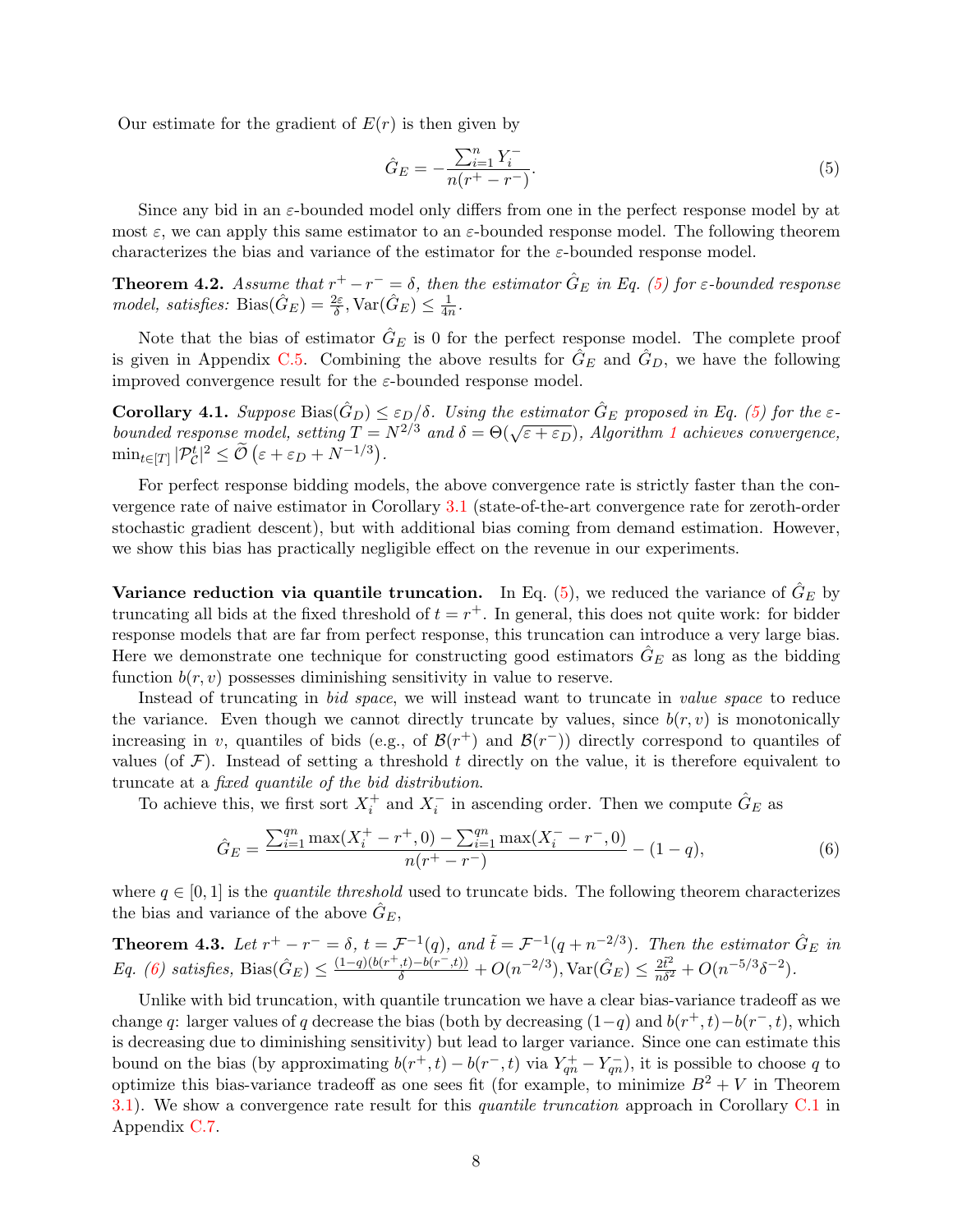Our estimate for the gradient of  $E(r)$  is then given by

<span id="page-7-1"></span>
$$
\hat{G}_E = -\frac{\sum_{i=1}^n Y_i^-}{n(r^+ - r^-)}.
$$
\n(5)

Since any bid in an  $\varepsilon$ -bounded model only differs from one in the perfect response model by at most  $\varepsilon$ , we can apply this same estimator to an  $\varepsilon$ -bounded response model. The following theorem characterizes the bias and variance of the estimator for the  $\varepsilon$ -bounded response model.

<span id="page-7-3"></span>**Theorem 4.2.** Assume that  $r^+ - r^- = \delta$ , then the estimator  $\hat{G}_E$  in Eq. [\(5\)](#page-7-1) for  $\varepsilon$ -bounded response model, satisfies: Bias $(\hat{G}_E) = \frac{2\varepsilon}{\delta}$ , Var $(\hat{G}_E) \leq \frac{1}{4n}$  $\frac{1}{4n}$ .

Note that the bias of estimator  $\hat{G}_E$  is 0 for the perfect response model. The complete proof is given in Appendix [C.5.](#page-18-1) Combining the above results for  $G_E$  and  $G_D$ , we have the following improved convergence result for the  $\varepsilon$ -bounded response model.

<span id="page-7-0"></span>**Corollary 4.1.** Suppose Bias $(\hat{G}_D) \leq \varepsilon_D/\delta$ . Using the estimator  $\hat{G}_E$  proposed in Eq. [\(5\)](#page-7-1) for the  $\varepsilon$ -**COTOHATY 4.[1](#page-4-0).** Suppose  $\text{bias}(G_D) \le \varepsilon_D/\sigma$ . Using the estimator  $G_E$  proposed in Eq. (5) for the  $\varepsilon$ -bounded response model, setting  $T = N^{2/3}$  and  $\delta = \Theta(\sqrt{\varepsilon + \varepsilon_D})$ , Algorithm 1 achieves convergence,  $\min_{t \in [T]} |\mathcal{P}_{\mathcal{C}}^{t}|^2 \leq \widetilde{\mathcal{O}}\left(\varepsilon + \varepsilon_D + N^{-1/3}\right).$ 

For perfect response bidding models, the above convergence rate is strictly faster than the convergence rate of naive estimator in Corollary [3.1](#page-5-0) (state-of-the-art convergence rate for zeroth-order stochastic gradient descent), but with additional bias coming from demand estimation. However, we show this bias has practically negligible effect on the revenue in our experiments.

Variance reduction via quantile truncation. In Eq. [\(5\)](#page-7-1), we reduced the variance of  $\hat{G}_E$  by truncating all bids at the fixed threshold of  $t = r^+$ . In general, this does not quite work: for bidder response models that are far from perfect response, this truncation can introduce a very large bias. Here we demonstrate one technique for constructing good estimators  $G_E$  as long as the bidding function  $b(r, v)$  possesses diminishing sensitivity in value to reserve.

Instead of truncating in bid space, we will instead want to truncate in value space to reduce the variance. Even though we cannot directly truncate by values, since  $b(r, v)$  is monotonically increasing in v, quantiles of bids (e.g., of  $\mathcal{B}(r^+)$  and  $\mathcal{B}(r^-)$ ) directly correspond to quantiles of values (of  $\mathcal F$ ). Instead of setting a threshold t directly on the value, it is therefore equivalent to truncate at a fixed quantile of the bid distribution.

To achieve this, we first sort  $X_i^+$  and  $X_i^-$  in ascending order. Then we compute  $\hat{G}_E$  as

<span id="page-7-2"></span>
$$
\hat{G}_E = \frac{\sum_{i=1}^{qn} \max(X_i^+ - r^+, 0) - \sum_{i=1}^{qn} \max(X_i^- - r^-, 0)}{n(r^+ - r^-)} - (1 - q),\tag{6}
$$

where  $q \in [0, 1]$  is the *quantile threshold* used to truncate bids. The following theorem characterizes the bias and variance of the above  $G_E$ ,

<span id="page-7-4"></span>**Theorem 4.3.** Let  $r^+ - r^- = \delta$ ,  $t = \mathcal{F}^{-1}(q)$ , and  $\tilde{t} = \mathcal{F}^{-1}(q + n^{-2/3})$ . Then the estimator  $\hat{G}_E$  in  $Eq. (6) \; satisfies, \; Bias(\hat{G}_E) \leq \frac{(1-q)(b(r^+, t) - b(r^-, t))}{\delta} + O(n^{-2/3}), \text{Var}(\hat{G}_E) \leq \frac{2\tilde{t}^2}{n\delta^2} + O(n^{-5/3}\delta^{-2}).$  $Eq. (6) \; satisfies, \; Bias(\hat{G}_E) \leq \frac{(1-q)(b(r^+, t) - b(r^-, t))}{\delta} + O(n^{-2/3}), \text{Var}(\hat{G}_E) \leq \frac{2\tilde{t}^2}{n\delta^2} + O(n^{-5/3}\delta^{-2}).$  $Eq. (6) \; satisfies, \; Bias(\hat{G}_E) \leq \frac{(1-q)(b(r^+, t) - b(r^-, t))}{\delta} + O(n^{-2/3}), \text{Var}(\hat{G}_E) \leq \frac{2\tilde{t}^2}{n\delta^2} + O(n^{-5/3}\delta^{-2}).$ 

Unlike with bid truncation, with quantile truncation we have a clear bias-variance tradeoff as we change q: larger values of q decrease the bias (both by decreasing  $(1-q)$  and  $b(r^+, t)-b(r^-, t)$ , which is decreasing due to diminishing sensitivity) but lead to larger variance. Since one can estimate this bound on the bias (by approximating  $b(r^+, t) - b(r^-, t)$  via  $Y_{qn}^+ - Y_{qn}^-$ ), it is possible to choose q to optimize this bias-variance tradeoff as one sees fit (for example, to minimize  $B^2 + V$  in Theorem [3.1\)](#page-4-1). We show a convergence rate result for this quantile truncation approach in Corollary [C.1](#page-22-0) in Appendix [C.7.](#page-22-1)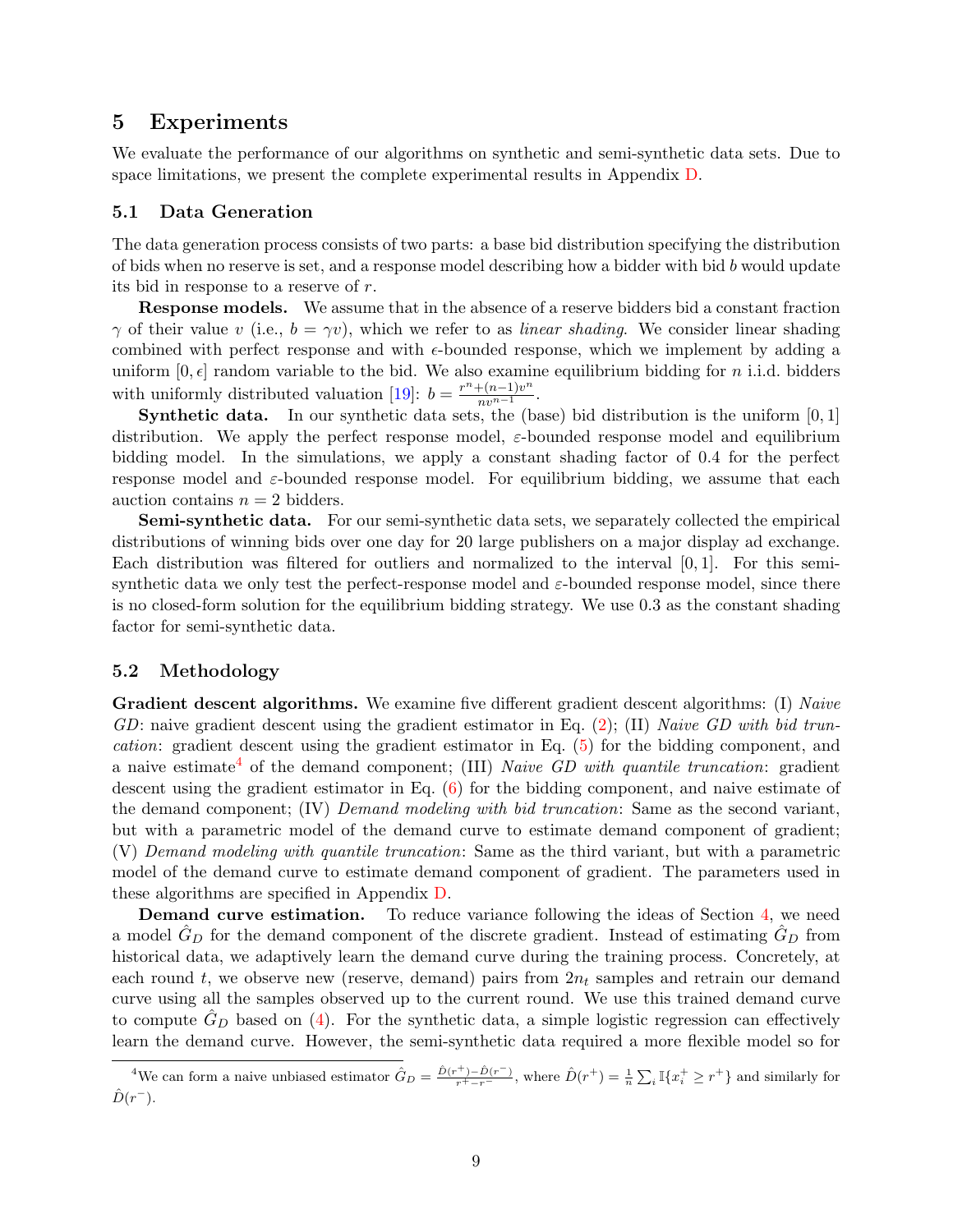### <span id="page-8-0"></span>5 Experiments

We evaluate the performance of our algorithms on synthetic and semi-synthetic data sets. Due to space limitations, we present the complete experimental results in Appendix [D.](#page-22-2)

#### 5.1 Data Generation

The data generation process consists of two parts: a base bid distribution specifying the distribution of bids when no reserve is set, and a response model describing how a bidder with bid  $b$  would update its bid in response to a reserve of r.

Response models. We assume that in the absence of a reserve bidders bid a constant fraction  $\gamma$  of their value v (i.e.,  $b = \gamma v$ ), which we refer to as linear shading. We consider linear shading combined with perfect response and with  $\epsilon$ -bounded response, which we implement by adding a uniform  $[0, \epsilon]$  random variable to the bid. We also examine equilibrium bidding for n i.i.d. bidders with uniformly distributed valuation [\[19\]](#page-11-4):  $b = \frac{r^n + (n-1)v^n}{nv^{n-1}}$ .

**Synthetic data.** In our synthetic data sets, the (base) bid distribution is the uniform  $[0, 1]$ distribution. We apply the perfect response model,  $\varepsilon$ -bounded response model and equilibrium bidding model. In the simulations, we apply a constant shading factor of 0.4 for the perfect response model and  $\varepsilon$ -bounded response model. For equilibrium bidding, we assume that each auction contains  $n = 2$  bidders.

Semi-synthetic data. For our semi-synthetic data sets, we separately collected the empirical distributions of winning bids over one day for 20 large publishers on a major display ad exchange. Each distribution was filtered for outliers and normalized to the interval  $[0, 1]$ . For this semisynthetic data we only test the perfect-response model and  $\varepsilon$ -bounded response model, since there is no closed-form solution for the equilibrium bidding strategy. We use 0.3 as the constant shading factor for semi-synthetic data.

#### 5.2 Methodology

Gradient descent algorithms. We examine five different gradient descent algorithms: (I) Naive GD: naive gradient descent using the gradient estimator in Eq.  $(2)$ ; (II) Naive GD with bid truncation: gradient descent using the gradient estimator in Eq. [\(5\)](#page-7-1) for the bidding component, and a naive estimate<sup>[4](#page-8-1)</sup> of the demand component; (III) Naive GD with quantile truncation: gradient descent using the gradient estimator in Eq. [\(6\)](#page-7-2) for the bidding component, and naive estimate of the demand component; (IV) Demand modeling with bid truncation: Same as the second variant, but with a parametric model of the demand curve to estimate demand component of gradient; (V) Demand modeling with quantile truncation: Same as the third variant, but with a parametric model of the demand curve to estimate demand component of gradient. The parameters used in these algorithms are specified in Appendix [D.](#page-22-2)

Demand curve estimation. To reduce variance following the ideas of Section [4,](#page-5-2) we need a model  $G_D$  for the demand component of the discrete gradient. Instead of estimating  $G_D$  from historical data, we adaptively learn the demand curve during the training process. Concretely, at each round t, we observe new (reserve, demand) pairs from  $2n_t$  samples and retrain our demand curve using all the samples observed up to the current round. We use this trained demand curve to compute  $G_D$  based on [\(4\)](#page-6-0). For the synthetic data, a simple logistic regression can effectively learn the demand curve. However, the semi-synthetic data required a more flexible model so for

<span id="page-8-1"></span><sup>&</sup>lt;sup>4</sup>We can form a naive unbiased estimator  $\hat{G}_D = \frac{\hat{D}(r^+)-\hat{D}(r^-)}{r^+-r^-}$ , where  $\hat{D}(r^+) = \frac{1}{n} \sum_i \mathbb{I}\{x_i^+ \geq r^+\}$  and similarly for  $\hat{D}(r^{-})$ .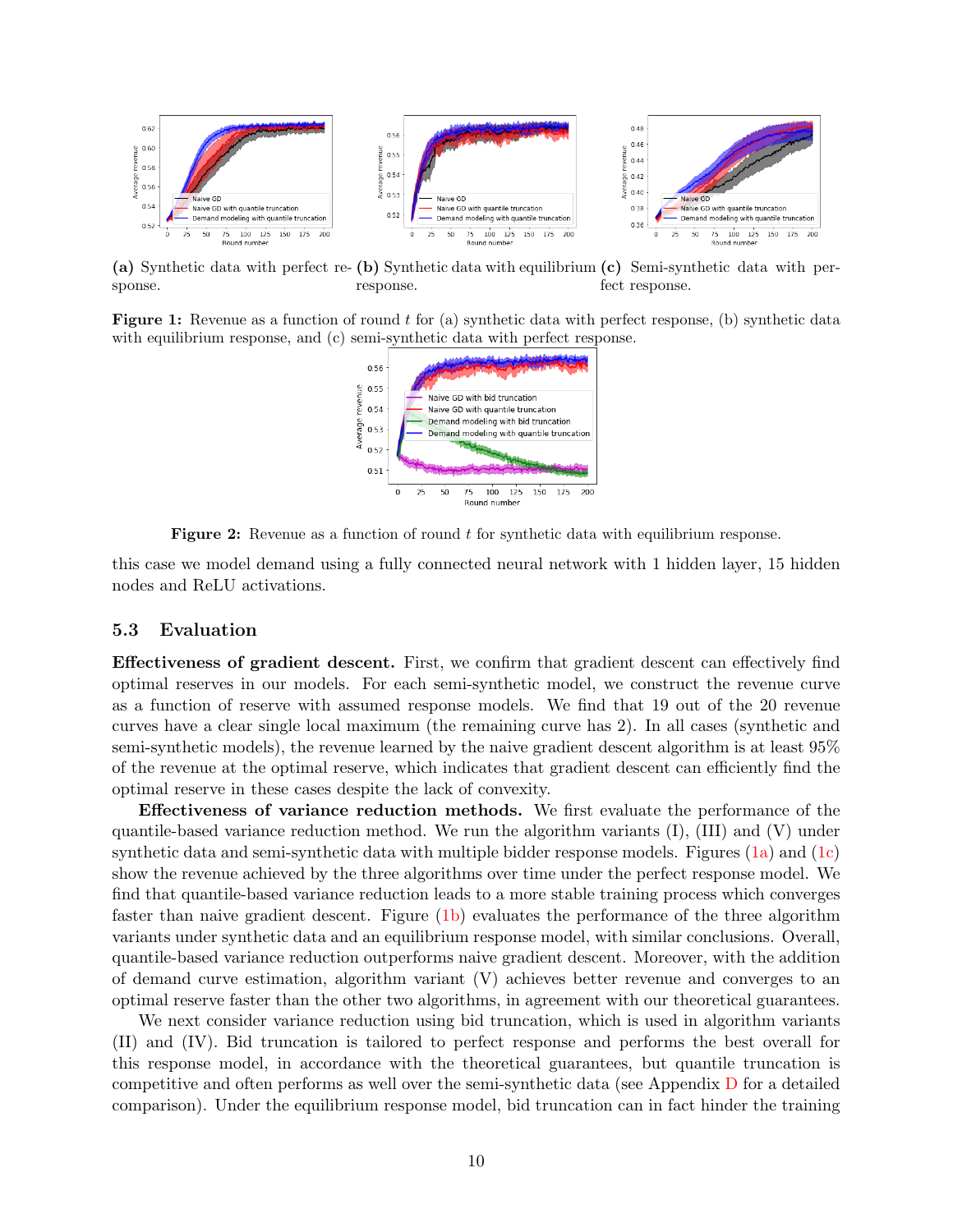<span id="page-9-0"></span>

(a) Synthetic data with perfect re-(b) Synthetic data with equilibrium (c) Semi-synthetic data with persponse. response. fect response.

<span id="page-9-1"></span>**Figure 1:** Revenue as a function of round t for (a) synthetic data with perfect response, (b) synthetic data with equilibrium response, and (c) semi-synthetic data with perfect response.



**Figure 2:** Revenue as a function of round  $t$  for synthetic data with equilibrium response.

this case we model demand using a fully connected neural network with 1 hidden layer, 15 hidden nodes and ReLU activations.

#### 5.3 Evaluation

Effectiveness of gradient descent. First, we confirm that gradient descent can effectively find optimal reserves in our models. For each semi-synthetic model, we construct the revenue curve as a function of reserve with assumed response models. We find that 19 out of the 20 revenue curves have a clear single local maximum (the remaining curve has 2). In all cases (synthetic and semi-synthetic models), the revenue learned by the naive gradient descent algorithm is at least 95% of the revenue at the optimal reserve, which indicates that gradient descent can efficiently find the optimal reserve in these cases despite the lack of convexity.

Effectiveness of variance reduction methods. We first evaluate the performance of the quantile-based variance reduction method. We run the algorithm variants (I), (III) and (V) under synthetic data and semi-synthetic data with multiple bidder response models. Figures [\(1a\)](#page-9-0) and [\(1c\)](#page-9-0) show the revenue achieved by the three algorithms over time under the perfect response model. We find that quantile-based variance reduction leads to a more stable training process which converges faster than naive gradient descent. Figure [\(1b\)](#page-9-0) evaluates the performance of the three algorithm variants under synthetic data and an equilibrium response model, with similar conclusions. Overall, quantile-based variance reduction outperforms naive gradient descent. Moreover, with the addition of demand curve estimation, algorithm variant (V) achieves better revenue and converges to an optimal reserve faster than the other two algorithms, in agreement with our theoretical guarantees.

We next consider variance reduction using bid truncation, which is used in algorithm variants (II) and (IV). Bid truncation is tailored to perfect response and performs the best overall for this response model, in accordance with the theoretical guarantees, but quantile truncation is competitive and often performs as well over the semi-synthetic data (see Appendix [D](#page-22-2) for a detailed comparison). Under the equilibrium response model, bid truncation can in fact hinder the training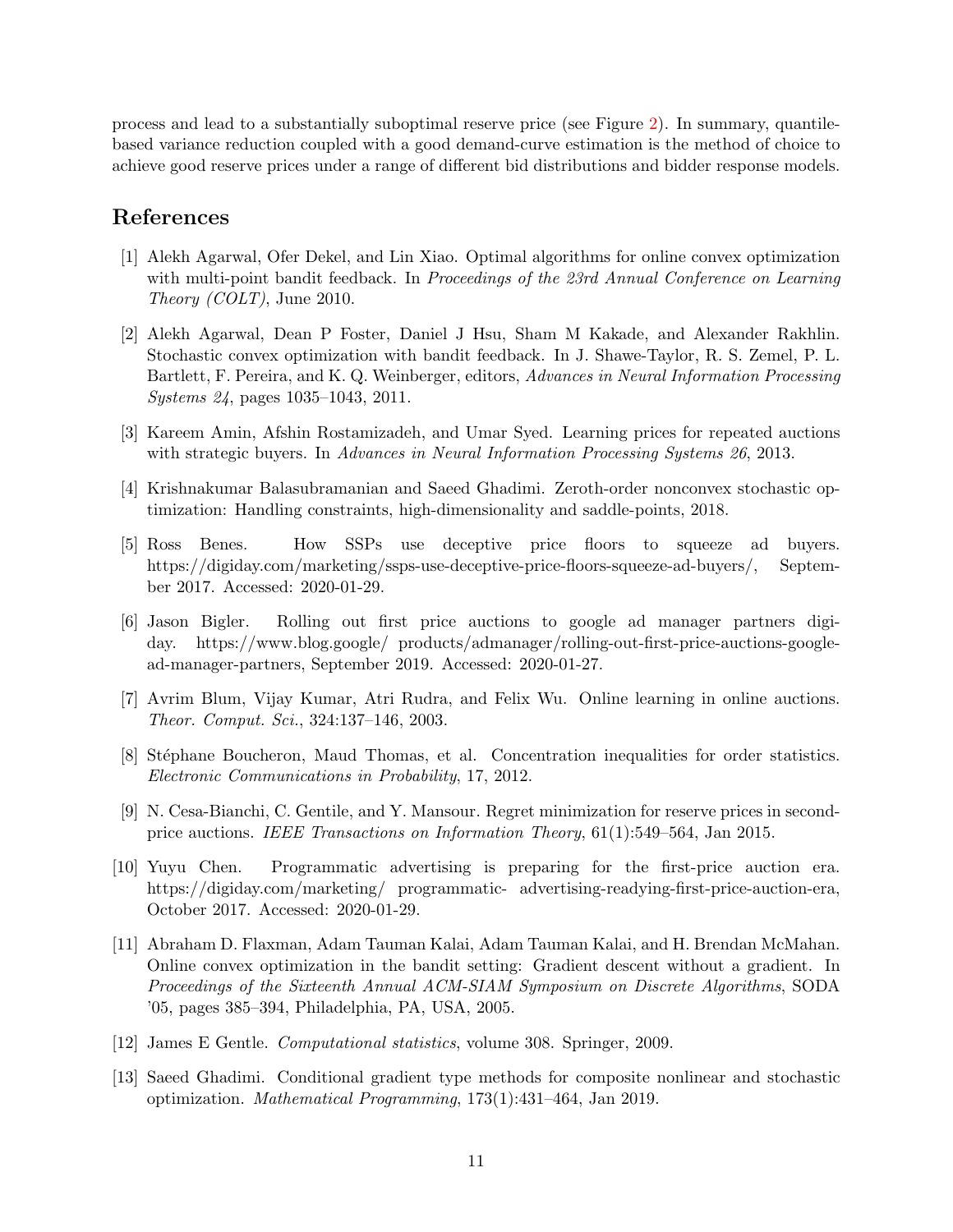process and lead to a substantially suboptimal reserve price (see Figure [2\)](#page-9-1). In summary, quantilebased variance reduction coupled with a good demand-curve estimation is the method of choice to achieve good reserve prices under a range of different bid distributions and bidder response models.

### References

- <span id="page-10-7"></span>[1] Alekh Agarwal, Ofer Dekel, and Lin Xiao. Optimal algorithms for online convex optimization with multi-point bandit feedback. In Proceedings of the 23rd Annual Conference on Learning Theory (COLT), June 2010.
- <span id="page-10-8"></span>[2] Alekh Agarwal, Dean P Foster, Daniel J Hsu, Sham M Kakade, and Alexander Rakhlin. Stochastic convex optimization with bandit feedback. In J. Shawe-Taylor, R. S. Zemel, P. L. Bartlett, F. Pereira, and K. Q. Weinberger, editors, Advances in Neural Information Processing Systems 24, pages 1035–1043, 2011.
- <span id="page-10-5"></span>[3] Kareem Amin, Afshin Rostamizadeh, and Umar Syed. Learning prices for repeated auctions with strategic buyers. In Advances in Neural Information Processing Systems 26, 2013.
- <span id="page-10-9"></span>[4] Krishnakumar Balasubramanian and Saeed Ghadimi. Zeroth-order nonconvex stochastic optimization: Handling constraints, high-dimensionality and saddle-points, 2018.
- <span id="page-10-2"></span>[5] Ross Benes. How SSPs use deceptive price floors to squeeze ad buyers. https://digiday.com/marketing/ssps-use-deceptive-price-floors-squeeze-ad-buyers/, September 2017. Accessed: 2020-01-29.
- <span id="page-10-1"></span>[6] Jason Bigler. Rolling out first price auctions to google ad manager partners digiday. https://www.blog.google/ products/admanager/rolling-out-first-price-auctions-googlead-manager-partners, September 2019. Accessed: 2020-01-27.
- <span id="page-10-3"></span>[7] Avrim Blum, Vijay Kumar, Atri Rudra, and Felix Wu. Online learning in online auctions. Theor. Comput. Sci., 324:137–146, 2003.
- <span id="page-10-12"></span>[8] Stéphane Boucheron, Maud Thomas, et al. Concentration inequalities for order statistics. Electronic Communications in Probability, 17, 2012.
- <span id="page-10-4"></span>[9] N. Cesa-Bianchi, C. Gentile, and Y. Mansour. Regret minimization for reserve prices in secondprice auctions. IEEE Transactions on Information Theory, 61(1):549–564, Jan 2015.
- <span id="page-10-0"></span>[10] Yuyu Chen. Programmatic advertising is preparing for the first-price auction era. https://digiday.com/marketing/ programmatic- advertising-readying-first-price-auction-era, October 2017. Accessed: 2020-01-29.
- <span id="page-10-6"></span>[11] Abraham D. Flaxman, Adam Tauman Kalai, Adam Tauman Kalai, and H. Brendan McMahan. Online convex optimization in the bandit setting: Gradient descent without a gradient. In Proceedings of the Sixteenth Annual ACM-SIAM Symposium on Discrete Algorithms, SODA '05, pages 385–394, Philadelphia, PA, USA, 2005.
- <span id="page-10-11"></span>[12] James E Gentle. Computational statistics, volume 308. Springer, 2009.
- <span id="page-10-10"></span>[13] Saeed Ghadimi. Conditional gradient type methods for composite nonlinear and stochastic optimization. Mathematical Programming, 173(1):431–464, Jan 2019.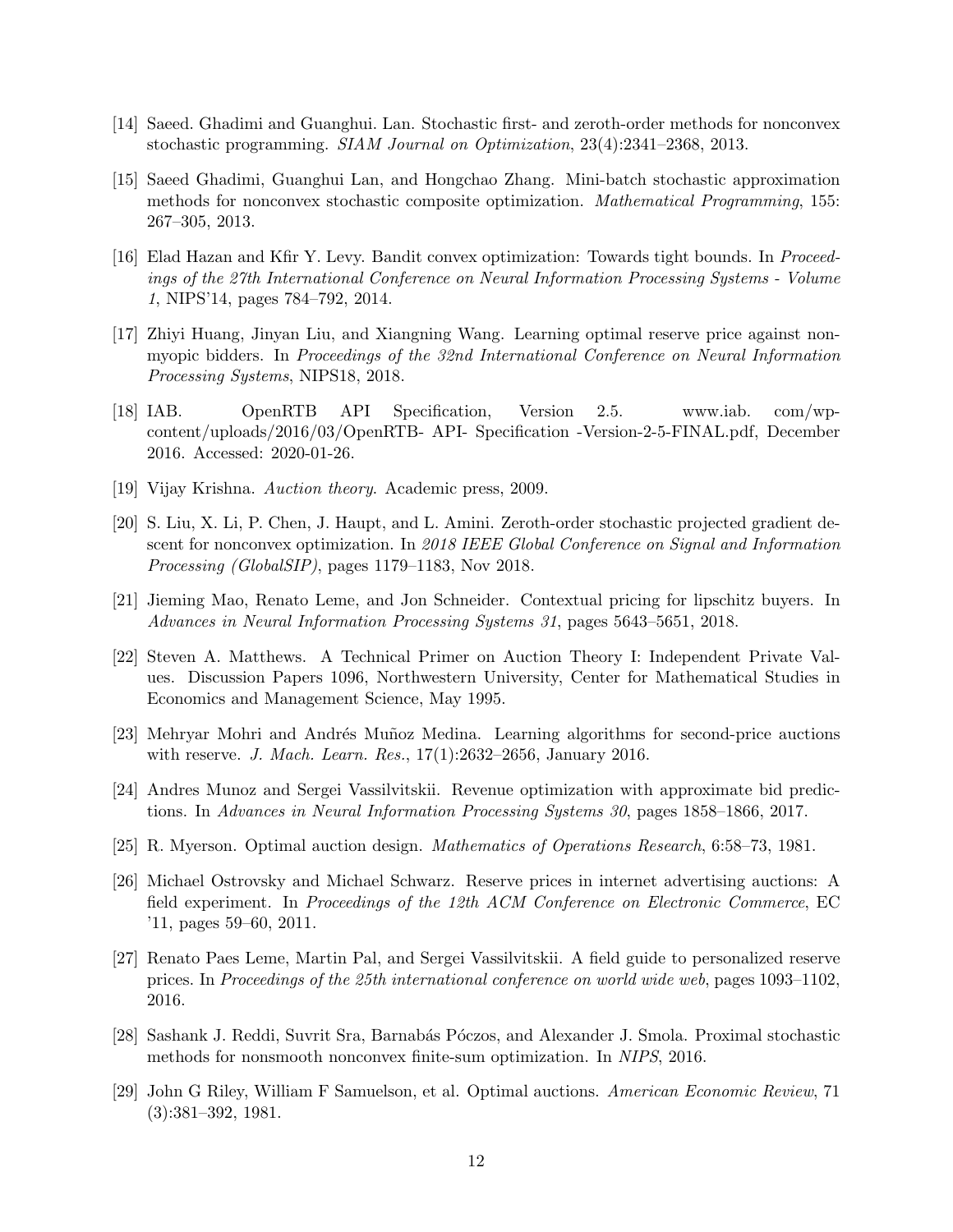- <span id="page-11-12"></span>[14] Saeed. Ghadimi and Guanghui. Lan. Stochastic first- and zeroth-order methods for nonconvex stochastic programming. SIAM Journal on Optimization, 23(4):2341–2368, 2013.
- <span id="page-11-14"></span>[15] Saeed Ghadimi, Guanghui Lan, and Hongchao Zhang. Mini-batch stochastic approximation methods for nonconvex stochastic composite optimization. Mathematical Programming, 155: 267–305, 2013.
- <span id="page-11-11"></span>[16] Elad Hazan and Kfir Y. Levy. Bandit convex optimization: Towards tight bounds. In Proceedings of the 27th International Conference on Neural Information Processing Systems - Volume 1, NIPS'14, pages 784–792, 2014.
- <span id="page-11-9"></span>[17] Zhiyi Huang, Jinyan Liu, and Xiangning Wang. Learning optimal reserve price against nonmyopic bidders. In Proceedings of the 32nd International Conference on Neural Information Processing Systems, NIPS18, 2018.
- <span id="page-11-5"></span>[18] IAB. OpenRTB API Specification, Version 2.5. www.iab. com/wpcontent/uploads/2016/03/OpenRTB- API- Specification -Version-2-5-FINAL.pdf, December 2016. Accessed: 2020-01-26.
- <span id="page-11-4"></span>[19] Vijay Krishna. Auction theory. Academic press, 2009.
- <span id="page-11-13"></span>[20] S. Liu, X. Li, P. Chen, J. Haupt, and L. Amini. Zeroth-order stochastic projected gradient descent for nonconvex optimization. In 2018 IEEE Global Conference on Signal and Information Processing (GlobalSIP), pages 1179–1183, Nov 2018.
- <span id="page-11-10"></span>[21] Jieming Mao, Renato Leme, and Jon Schneider. Contextual pricing for lipschitz buyers. In Advances in Neural Information Processing Systems 31, pages 5643–5651, 2018.
- <span id="page-11-8"></span>[22] Steven A. Matthews. A Technical Primer on Auction Theory I: Independent Private Values. Discussion Papers 1096, Northwestern University, Center for Mathematical Studies in Economics and Management Science, May 1995.
- <span id="page-11-2"></span>[23] Mehryar Mohri and Andrés Muñoz Medina. Learning algorithms for second-price auctions with reserve. J. Mach. Learn. Res., 17(1):2632–2656, January 2016.
- <span id="page-11-3"></span>[24] Andres Munoz and Sergei Vassilvitskii. Revenue optimization with approximate bid predictions. In Advances in Neural Information Processing Systems 30, pages 1858–1866, 2017.
- <span id="page-11-0"></span>[25] R. Myerson. Optimal auction design. Mathematics of Operations Research, 6:58–73, 1981.
- <span id="page-11-7"></span>[26] Michael Ostrovsky and Michael Schwarz. Reserve prices in internet advertising auctions: A field experiment. In Proceedings of the 12th ACM Conference on Electronic Commerce, EC '11, pages 59–60, 2011.
- <span id="page-11-1"></span>[27] Renato Paes Leme, Martin Pal, and Sergei Vassilvitskii. A field guide to personalized reserve prices. In Proceedings of the 25th international conference on world wide web, pages 1093–1102, 2016.
- <span id="page-11-15"></span>[28] Sashank J. Reddi, Suvrit Sra, Barnabás Póczos, and Alexander J. Smola. Proximal stochastic methods for nonsmooth nonconvex finite-sum optimization. In NIPS, 2016.
- <span id="page-11-6"></span>[29] John G Riley, William F Samuelson, et al. Optimal auctions. American Economic Review, 71 (3):381–392, 1981.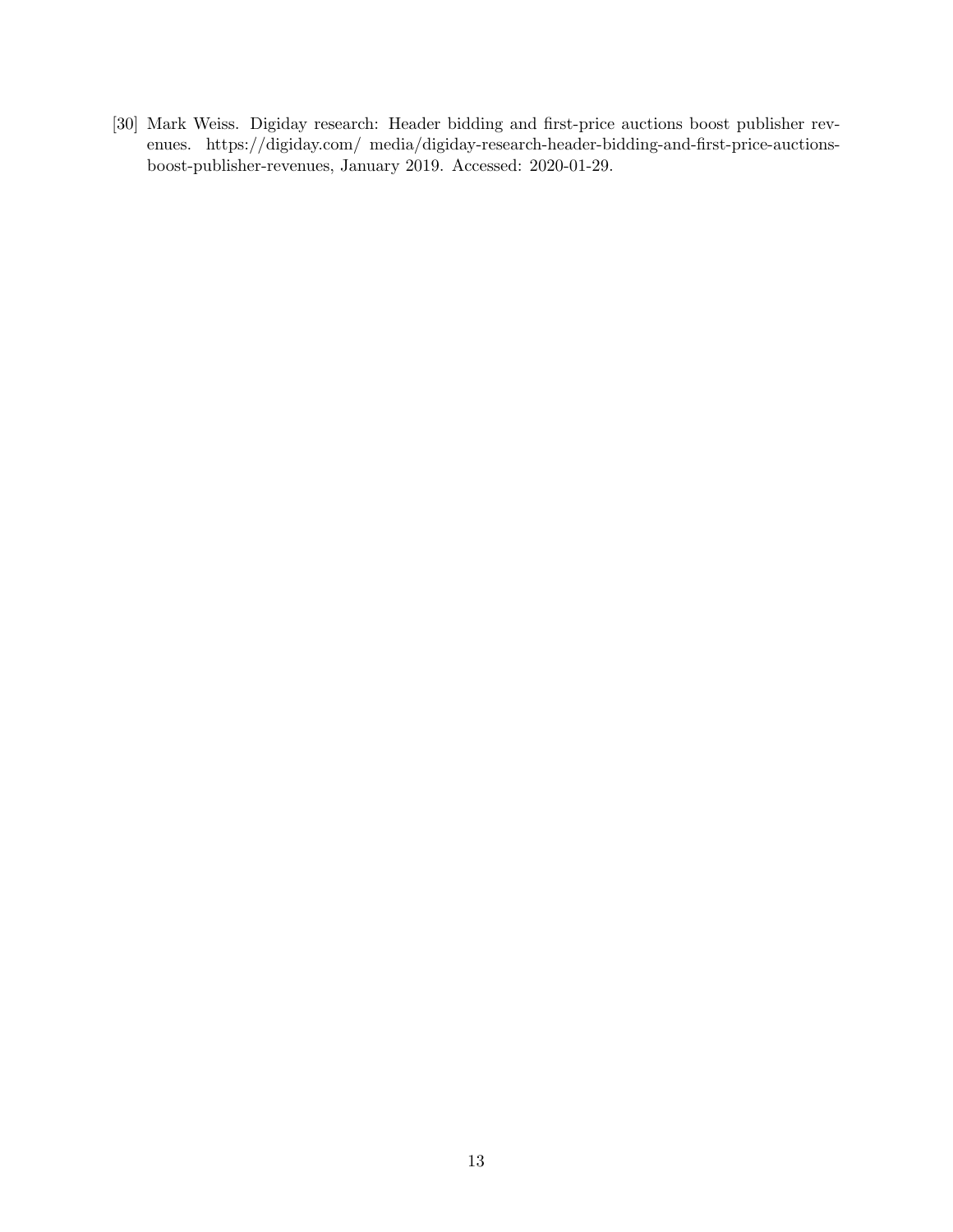<span id="page-12-0"></span>[30] Mark Weiss. Digiday research: Header bidding and first-price auctions boost publisher revenues. https://digiday.com/ media/digiday-research-header-bidding-and-first-price-auctionsboost-publisher-revenues, January 2019. Accessed: 2020-01-29.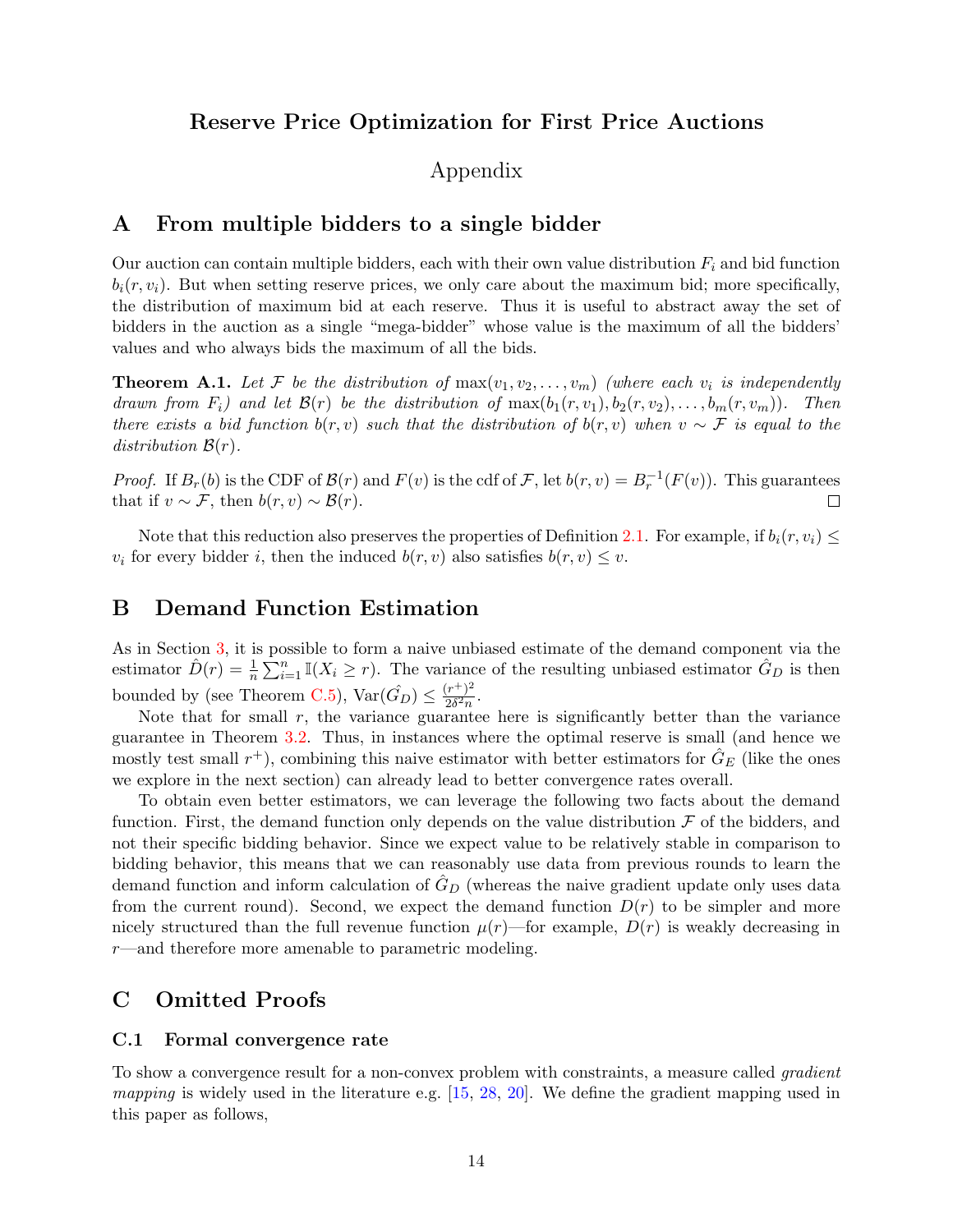## Reserve Price Optimization for First Price Auctions

### Appendix

### <span id="page-13-0"></span>A From multiple bidders to a single bidder

Our auction can contain multiple bidders, each with their own value distribution  $F_i$  and bid function  $b_i(r, v_i)$ . But when setting reserve prices, we only care about the maximum bid; more specifically, the distribution of maximum bid at each reserve. Thus it is useful to abstract away the set of bidders in the auction as a single "mega-bidder" whose value is the maximum of all the bidders' values and who always bids the maximum of all the bids.

**Theorem A.1.** Let F be the distribution of  $\max(v_1, v_2, \ldots, v_m)$  (where each  $v_i$  is independently drawn from  $F_i$ ) and let  $\mathcal{B}(r)$  be the distribution of  $\max(b_1(r, v_1), b_2(r, v_2), \ldots, b_m(r, v_m))$ . Then there exists a bid function  $b(r, v)$  such that the distribution of  $b(r, v)$  when  $v \sim \mathcal{F}$  is equal to the distribution  $\mathcal{B}(r)$ .

*Proof.* If  $B_r(b)$  is the CDF of  $\mathcal{B}(r)$  and  $F(v)$  is the cdf of  $\mathcal{F}$ , let  $b(r, v) = B_r^{-1}(F(v))$ . This guarantees that if  $v \sim \mathcal{F}$ , then  $b(r, v) \sim \mathcal{B}(r)$ .  $\Box$ 

Note that this reduction also preserves the properties of Definition [2.1.](#page-3-1) For example, if  $b_i(r, v_i) \leq$  $v_i$  for every bidder i, then the induced  $b(r, v)$  also satisfies  $b(r, v) \leq v$ .

### <span id="page-13-2"></span>B Demand Function Estimation

As in Section [3,](#page-3-0) it is possible to form a naive unbiased estimate of the demand component via the estimator  $\hat{D}(r) = \frac{1}{n} \sum_{i=1}^{n} \mathbb{I}(X_i \geq r)$ . The variance of the resulting unbiased estimator  $\hat{G}_D$  is then bounded by (see Theorem [C.5\)](#page-17-0),  $Var(\hat{G}_D) \leq \frac{(r^+)^2}{2\delta^2 n}$  $rac{r}{2\delta^2 n}$ .

Note that for small  $r$ , the variance guarantee here is significantly better than the variance guarantee in Theorem [3.2.](#page-5-3) Thus, in instances where the optimal reserve is small (and hence we mostly test small  $r^+$ ), combining this naive estimator with better estimators for  $\hat{G}_E$  (like the ones we explore in the next section) can already lead to better convergence rates overall.

To obtain even better estimators, we can leverage the following two facts about the demand function. First, the demand function only depends on the value distribution  $\mathcal F$  of the bidders, and not their specific bidding behavior. Since we expect value to be relatively stable in comparison to bidding behavior, this means that we can reasonably use data from previous rounds to learn the demand function and inform calculation of  $\hat{G}_D$  (whereas the naive gradient update only uses data from the current round). Second, we expect the demand function  $D(r)$  to be simpler and more nicely structured than the full revenue function  $\mu(r)$ —for example,  $D(r)$  is weakly decreasing in r—and therefore more amenable to parametric modeling.

### C Omitted Proofs

#### <span id="page-13-1"></span>C.1 Formal convergence rate

To show a convergence result for a non-convex problem with constraints, a measure called gradient mapping is widely used in the literature e.g. [\[15,](#page-11-14) [28,](#page-11-15) [20\]](#page-11-13). We define the gradient mapping used in this paper as follows,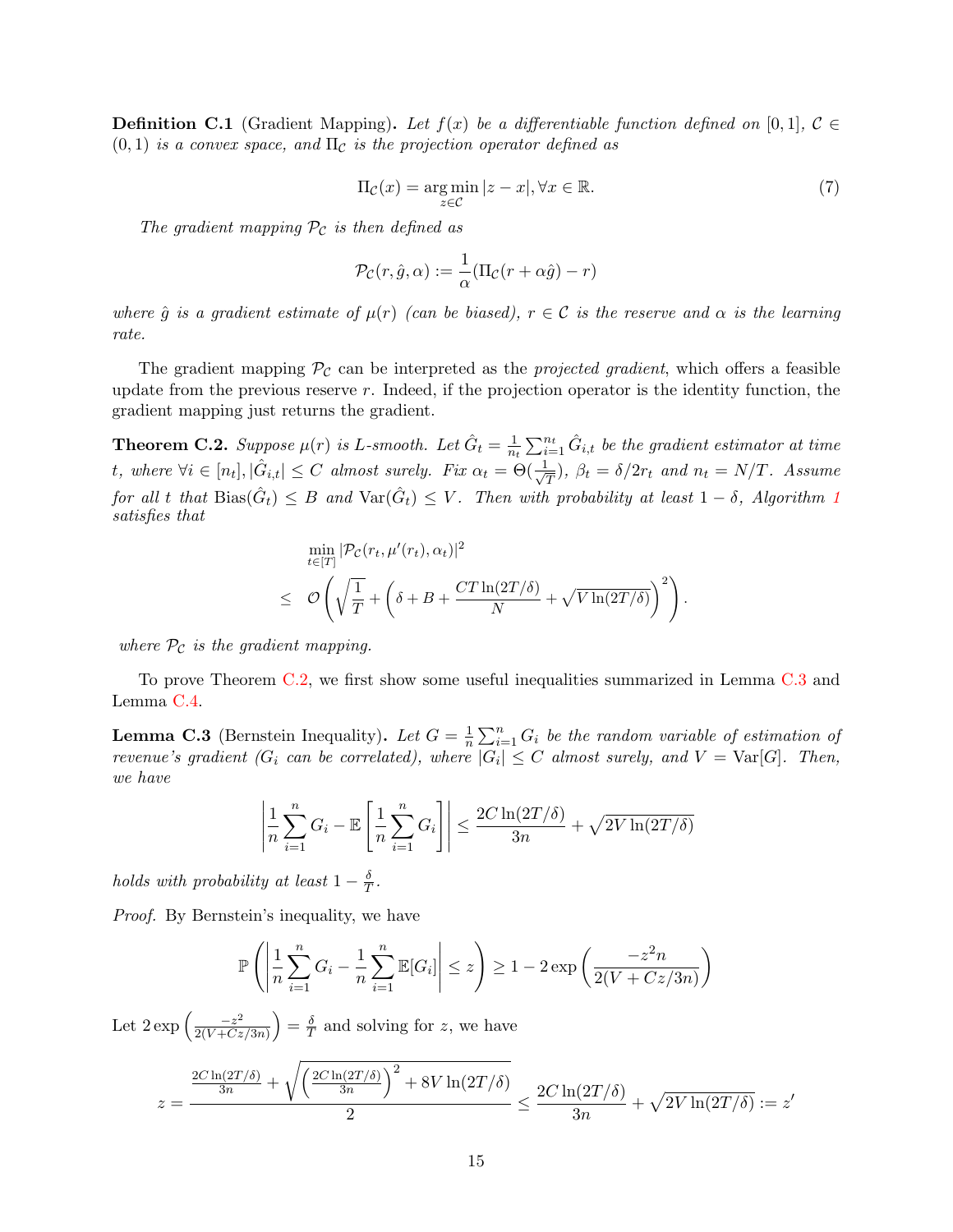<span id="page-14-1"></span>**Definition C.1** (Gradient Mapping). Let  $f(x)$  be a differentiable function defined on [0,1],  $C \in$  $(0, 1)$  is a convex space, and  $\Pi_c$  is the projection operator defined as

$$
\Pi_{\mathcal{C}}(x) = \underset{z \in \mathcal{C}}{\arg \min} |z - x|, \forall x \in \mathbb{R}.
$$
\n<sup>(7)</sup>

The gradient mapping  $\mathcal{P}_{\mathcal{C}}$  is then defined as

$$
\mathcal{P}_{\mathcal{C}}(r, \hat{g}, \alpha) := \frac{1}{\alpha} (\Pi_{\mathcal{C}}(r + \alpha \hat{g}) - r)
$$

where  $\hat{g}$  is a gradient estimate of  $\mu(r)$  (can be biased),  $r \in \mathcal{C}$  is the reserve and  $\alpha$  is the learning rate.

The gradient mapping  $\mathcal{P}_{\mathcal{C}}$  can be interpreted as the *projected gradient*, which offers a feasible update from the previous reserve  $r$ . Indeed, if the projection operator is the identity function, the gradient mapping just returns the gradient.

<span id="page-14-0"></span>**Theorem C.2.** Suppose  $\mu(r)$  is L-smooth. Let  $\hat{G}_t = \frac{1}{n}$  $\frac{1}{n_t}\sum_{i=1}^{n_t} \hat{G}_{i,t}$  be the gradient estimator at time t, where  $\forall i \in [n_t], |\hat{G}_{i,t}| \leq C$  almost surely. Fix  $\alpha_t = \Theta(\frac{1}{\sqrt{\epsilon}})$  $(\frac{1}{T}), \beta_t = \delta/2r_t$  and  $n_t = N/T$ . Assume for all t that  $\text{Bias}(\hat{G}_t) \leq B$  and  $\text{Var}(\hat{G}_t) \leq V$ . Then with probability at least  $1 - \delta$  $1 - \delta$ , Algorithm 1 satisfies that

$$
\min_{t \in [T]} |\mathcal{P}_{\mathcal{C}}(r_t, \mu'(r_t), \alpha_t)|^2 \n\leq \mathcal{O}\left(\sqrt{\frac{1}{T}} + \left(\delta + B + \frac{CT\ln(2T/\delta)}{N} + \sqrt{V\ln(2T/\delta)}\right)^2\right).
$$

where  $P_{\mathcal{C}}$  is the gradient mapping.

To prove Theorem [C.2,](#page-14-0) we first show some useful inequalities summarized in Lemma [C.3](#page-14-2) and Lemma [C.4.](#page-15-0)

<span id="page-14-2"></span>**Lemma C.3** (Bernstein Inequality). Let  $G = \frac{1}{n}$  $\frac{1}{n} \sum_{i=1}^{n} G_i$  be the random variable of estimation of revenue's gradient ( $G_i$  can be correlated), where  $|G_i| \leq C$  almost surely, and  $V = \text{Var}[G]$ . Then, we have

$$
\left|\frac{1}{n}\sum_{i=1}^{n}G_i - \mathbb{E}\left[\frac{1}{n}\sum_{i=1}^{n}G_i\right]\right| \le \frac{2C\ln(2T/\delta)}{3n} + \sqrt{2V\ln(2T/\delta)}
$$

holds with probability at least  $1-\frac{\delta}{7}$  $\frac{\delta}{T}$  .

Proof. By Bernstein's inequality, we have

$$
\mathbb{P}\left(\left|\frac{1}{n}\sum_{i=1}^{n}G_i - \frac{1}{n}\sum_{i=1}^{n}\mathbb{E}[G_i]\right| \leq z\right) \geq 1 - 2\exp\left(\frac{-z^2n}{2(V + Cz/3n)}\right)
$$

Let  $2 \exp \left( \frac{-z^2}{2(V+Cz)} \right)$  $\frac{-z^2}{2(V+Cz/3n)}$ ) =  $\frac{\delta}{T}$  $\frac{\delta}{T}$  and solving for z, we have

$$
z = \frac{\frac{2C\ln(2T/\delta)}{3n} + \sqrt{\left(\frac{2C\ln(2T/\delta)}{3n}\right)^2 + 8V\ln(2T/\delta)}}{2} \le \frac{2C\ln(2T/\delta)}{3n} + \sqrt{2V\ln(2T/\delta)} := z'
$$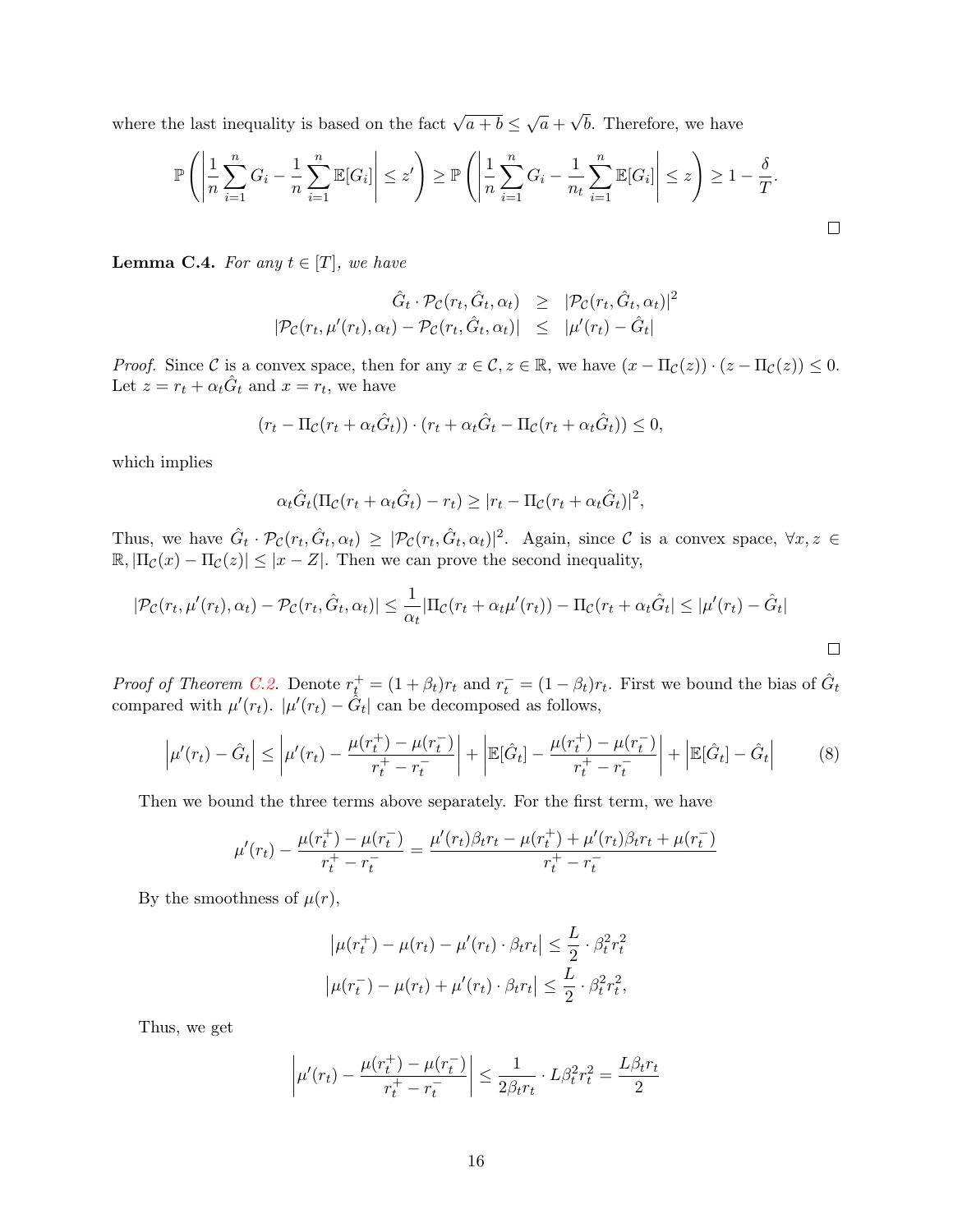where the last inequality is based on the fact  $\sqrt{a+b} \leq \sqrt{a}$ . √ b. Therefore, we have

$$
\mathbb{P}\left(\left|\frac{1}{n}\sum_{i=1}^n G_i - \frac{1}{n}\sum_{i=1}^n \mathbb{E}[G_i]\right| \le z'\right) \ge \mathbb{P}\left(\left|\frac{1}{n}\sum_{i=1}^n G_i - \frac{1}{n_t}\sum_{i=1}^n \mathbb{E}[G_i]\right| \le z\right) \ge 1 - \frac{\delta}{T}.
$$

<span id="page-15-0"></span>**Lemma C.4.** For any  $t \in [T]$ , we have

$$
\hat{G}_t \cdot \mathcal{P}_\mathcal{C}(r_t, \hat{G}_t, \alpha_t) \geq |\mathcal{P}_\mathcal{C}(r_t, \hat{G}_t, \alpha_t)|^2
$$
  

$$
|\mathcal{P}_\mathcal{C}(r_t, \mu'(r_t), \alpha_t) - \mathcal{P}_\mathcal{C}(r_t, \hat{G}_t, \alpha_t)| \leq |\mu'(r_t) - \hat{G}_t|
$$

*Proof.* Since C is a convex space, then for any  $x \in C$ ,  $z \in \mathbb{R}$ , we have  $(x - \Pi_C(z)) \cdot (z - \Pi_C(z)) \leq 0$ . Let  $z = r_t + \alpha_t \hat{G}_t$  and  $x = r_t$ , we have

$$
(r_t - \Pi_{\mathcal{C}}(r_t + \alpha_t \hat{G}_t)) \cdot (r_t + \alpha_t \hat{G}_t - \Pi_{\mathcal{C}}(r_t + \alpha_t \hat{G}_t)) \leq 0,
$$

which implies

$$
\alpha_t \hat{G}_t (\Pi_{\mathcal{C}}(r_t + \alpha_t \hat{G}_t) - r_t) \ge |r_t - \Pi_{\mathcal{C}}(r_t + \alpha_t \hat{G}_t)|^2,
$$

Thus, we have  $\hat{G}_t \cdot \mathcal{P}_{\mathcal{C}}(r_t, \hat{G}_t, \alpha_t) \geq |\mathcal{P}_{\mathcal{C}}(r_t, \hat{G}_t, \alpha_t)|^2$ . Again, since C is a convex space,  $\forall x, z \in$  $\mathbb{R}, |\Pi_{\mathcal{C}}(x) - \Pi_{\mathcal{C}}(z)| \leq |x - Z|$ . Then we can prove the second inequality,

$$
|\mathcal{P}_{\mathcal{C}}(r_t,\mu'(r_t),\alpha_t) - \mathcal{P}_{\mathcal{C}}(r_t,\hat{G}_t,\alpha_t)| \leq \frac{1}{\alpha_t} |\Pi_{\mathcal{C}}(r_t + \alpha_t \mu'(r_t)) - \Pi_{\mathcal{C}}(r_t + \alpha_t \hat{G}_t| \leq |\mu'(r_t) - \hat{G}_t|
$$

*Proof of Theorem [C.2.](#page-14-0)* Denote  $r_t^+ = (1 + \beta_t)r_t$  and  $r_t^- = (1 - \beta_t)r_t$ . First we bound the bias of  $\hat{G}_t$ compared with  $\mu'(r_t)$ .  $|\mu'(r_t) - \dot{G}_t|$  can be decomposed as follows,

$$
\left|\mu'(r_t) - \hat{G}_t\right| \le \left|\mu'(r_t) - \frac{\mu(r_t^+) - \mu(r_t^-)}{r_t^+ - r_t^-}\right| + \left|\mathbb{E}[\hat{G}_t] - \frac{\mu(r_t^+) - \mu(r_t^-)}{r_t^+ - r_t^-}\right| + \left|\mathbb{E}[\hat{G}_t] - \hat{G}_t\right| \tag{8}
$$

Then we bound the three terms above separately. For the first term, we have

$$
\mu'(r_t) - \frac{\mu(r_t^+) - \mu(r_t^-)}{r_t^+ - r_t^-} = \frac{\mu'(r_t)\beta_t r_t - \mu(r_t^+) + \mu'(r_t)\beta_t r_t + \mu(r_t^-)}{r_t^+ - r_t^-}
$$

By the smoothness of  $\mu(r)$ ,

$$
\left|\mu(r_t^+) - \mu(r_t) - \mu'(r_t) \cdot \beta_t r_t\right| \le \frac{L}{2} \cdot \beta_t^2 r_t^2
$$
  

$$
\left|\mu(r_t^-) - \mu(r_t) + \mu'(r_t) \cdot \beta_t r_t\right| \le \frac{L}{2} \cdot \beta_t^2 r_t^2,
$$

Thus, we get

$$
\left| \mu'(r_t) - \frac{\mu(r_t^+) - \mu(r_t^-)}{r_t^+ - r_t^-} \right| \le \frac{1}{2\beta_t r_t} \cdot L\beta_t^2 r_t^2 = \frac{L\beta_t r_t}{2}
$$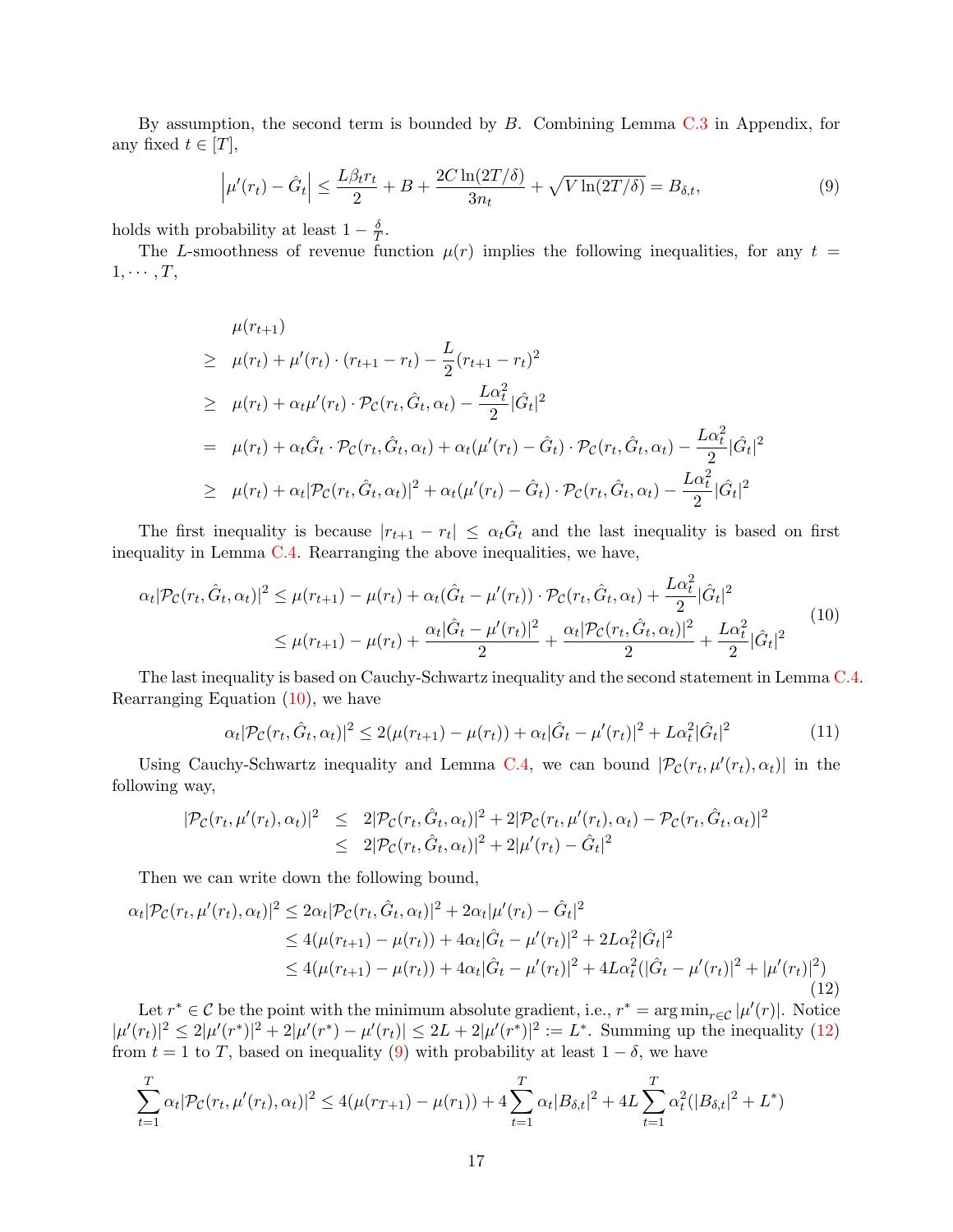By assumption, the second term is bounded by B. Combining Lemma [C.3](#page-14-2) in Appendix, for any fixed  $t \in [T]$ ,

<span id="page-16-2"></span>
$$
\left|\mu'(r_t) - \hat{G}_t\right| \le \frac{L\beta_t r_t}{2} + B + \frac{2C\ln(2T/\delta)}{3n_t} + \sqrt{V\ln(2T/\delta)} = B_{\delta,t},\tag{9}
$$

holds with probability at least  $1 - \frac{\delta}{l}$  $\frac{\delta}{T}$ .

The L-smoothness of revenue function  $\mu(r)$  implies the following inequalities, for any  $t =$  $1, \cdots, T$ ,

$$
\mu(r_{t+1})
$$
\n
$$
\geq \mu(r_t) + \mu'(r_t) \cdot (r_{t+1} - r_t) - \frac{L}{2} (r_{t+1} - r_t)^2
$$
\n
$$
\geq \mu(r_t) + \alpha_t \mu'(r_t) \cdot \mathcal{P}_C(r_t, \hat{G}_t, \alpha_t) - \frac{L\alpha_t^2}{2} |\hat{G}_t|^2
$$
\n
$$
= \mu(r_t) + \alpha_t \hat{G}_t \cdot \mathcal{P}_C(r_t, \hat{G}_t, \alpha_t) + \alpha_t (\mu'(r_t) - \hat{G}_t) \cdot \mathcal{P}_C(r_t, \hat{G}_t, \alpha_t) - \frac{L\alpha_t^2}{2} |\hat{G}_t|^2
$$
\n
$$
\geq \mu(r_t) + \alpha_t |\mathcal{P}_C(r_t, \hat{G}_t, \alpha_t)|^2 + \alpha_t (\mu'(r_t) - \hat{G}_t) \cdot \mathcal{P}_C(r_t, \hat{G}_t, \alpha_t) - \frac{L\alpha_t^2}{2} |\hat{G}_t|^2
$$

The first inequality is because  $|r_{t+1} - r_t| \leq \alpha_t \hat{G}_t$  and the last inequality is based on first inequality in Lemma [C.4.](#page-15-0) Rearranging the above inequalities, we have,

$$
\alpha_t |\mathcal{P}_{\mathcal{C}}(r_t, \hat{G}_t, \alpha_t)|^2 \leq \mu(r_{t+1}) - \mu(r_t) + \alpha_t (\hat{G}_t - \mu'(r_t)) \cdot \mathcal{P}_{\mathcal{C}}(r_t, \hat{G}_t, \alpha_t) + \frac{L\alpha_t^2}{2} |\hat{G}_t|^2
$$
  

$$
\leq \mu(r_{t+1}) - \mu(r_t) + \frac{\alpha_t |\hat{G}_t - \mu'(r_t)|^2}{2} + \frac{\alpha_t |\mathcal{P}_{\mathcal{C}}(r_t, \hat{G}_t, \alpha_t)|^2}{2} + \frac{L\alpha_t^2}{2} |\hat{G}_t|^2
$$
(10)

The last inequality is based on Cauchy-Schwartz inequality and the second statement in Lemma [C.4.](#page-15-0) Rearranging Equation [\(10\)](#page-16-0), we have

<span id="page-16-1"></span><span id="page-16-0"></span>
$$
\alpha_t |\mathcal{P}_{\mathcal{C}}(r_t, \hat{G}_t, \alpha_t)|^2 \le 2(\mu(r_{t+1}) - \mu(r_t)) + \alpha_t |\hat{G}_t - \mu'(r_t)|^2 + L\alpha_t^2 |\hat{G}_t|^2 \tag{11}
$$

Using Cauchy-Schwartz inequality and Lemma [C.4,](#page-15-0) we can bound  $|\mathcal{P}_{\mathcal{C}}(r_t, \mu'(r_t), \alpha_t)|$  in the following way,

$$
|\mathcal{P}_{\mathcal{C}}(r_t, \mu'(r_t), \alpha_t)|^2 \leq 2|\mathcal{P}_{\mathcal{C}}(r_t, \hat{G}_t, \alpha_t)|^2 + 2|\mathcal{P}_{\mathcal{C}}(r_t, \mu'(r_t), \alpha_t) - \mathcal{P}_{\mathcal{C}}(r_t, \hat{G}_t, \alpha_t)|^2 \leq 2|\mathcal{P}_{\mathcal{C}}(r_t, \hat{G}_t, \alpha_t)|^2 + 2|\mu'(r_t) - \hat{G}_t|^2
$$

Then we can write down the following bound,

$$
\alpha_t |\mathcal{P}_{\mathcal{C}}(r_t, \mu'(r_t), \alpha_t)|^2 \leq 2\alpha_t |\mathcal{P}_{\mathcal{C}}(r_t, \hat{G}_t, \alpha_t)|^2 + 2\alpha_t |\mu'(r_t) - \hat{G}_t|^2
$$
  
\n
$$
\leq 4(\mu(r_{t+1}) - \mu(r_t)) + 4\alpha_t |\hat{G}_t - \mu'(r_t)|^2 + 2L\alpha_t^2 |\hat{G}_t|^2
$$
  
\n
$$
\leq 4(\mu(r_{t+1}) - \mu(r_t)) + 4\alpha_t |\hat{G}_t - \mu'(r_t)|^2 + 4L\alpha_t^2 (|\hat{G}_t - \mu'(r_t)|^2 + |\mu'(r_t)|^2)
$$
\n(12)

Let  $r^* \in \mathcal{C}$  be the point with the minimum absolute gradient, i.e.,  $r^* = \arg \min_{r \in \mathcal{C}} |\mu'(r)|$ . Notice  $|\mu'(r_t)|^2 \leq 2|\mu'(r^*)|^2 + 2|\mu'(r^*) - \mu'(r_t)| \leq 2L + 2|\mu'(r^*)|^2 := L^*$ . Summing up the inequality [\(12\)](#page-16-1) from  $t = 1$  to T, based on inequality [\(9\)](#page-16-2) with probability at least  $1 - \delta$ , we have

$$
\sum_{t=1}^{T} \alpha_t |\mathcal{P}_{\mathcal{C}}(r_t, \mu'(r_t), \alpha_t)|^2 \le 4(\mu(r_{T+1}) - \mu(r_1)) + 4\sum_{t=1}^{T} \alpha_t |B_{\delta, t}|^2 + 4L\sum_{t=1}^{T} \alpha_t^2 (|B_{\delta, t}|^2 + L^*)
$$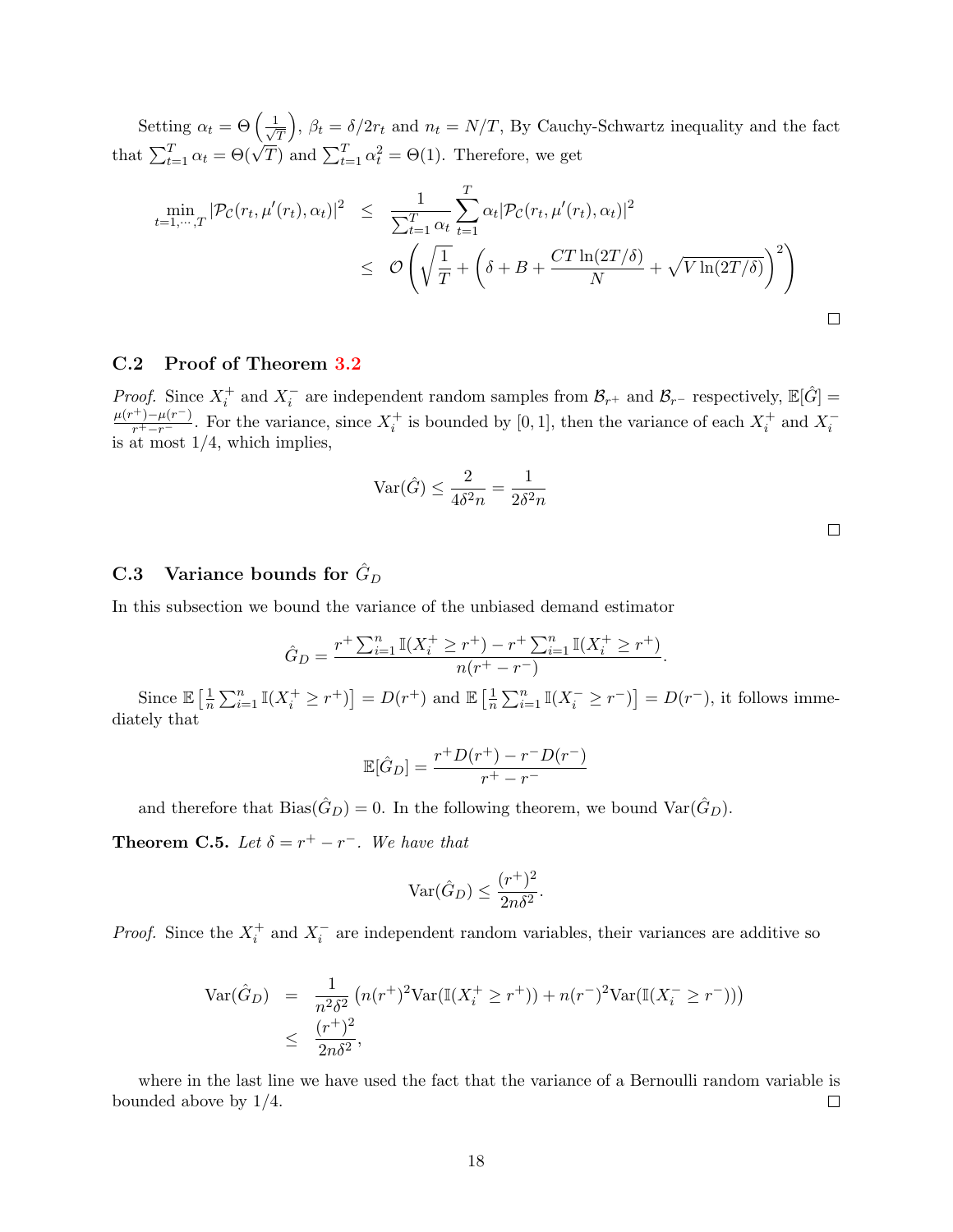Setting  $\alpha_t = \Theta\left(\frac{1}{\sqrt{2}}\right)$ T ),  $\beta_t = \delta/2r_t$  and  $n_t = N/T$ , By Cauchy-Schwartz inequality and the fact that  $\sum_{t=1}^{T} \alpha_t = \Theta(\sqrt{T})$  and  $\sum_{t=1}^{T} \alpha_t^2 = \Theta(1)$ . Therefore, we get

$$
\min_{t=1,\dots,T} |\mathcal{P}_{\mathcal{C}}(r_t,\mu'(r_t),\alpha_t)|^2 \leq \frac{1}{\sum_{t=1}^T \alpha_t} \sum_{t=1}^T \alpha_t |\mathcal{P}_{\mathcal{C}}(r_t,\mu'(r_t),\alpha_t)|^2
$$
\n
$$
\leq \mathcal{O}\left(\sqrt{\frac{1}{T}} + \left(\delta + B + \frac{CT\ln(2T/\delta)}{N} + \sqrt{V\ln(2T/\delta)}\right)^2\right)
$$

#### C.2 Proof of Theorem [3.2](#page-5-3)

*Proof.* Since  $X_i^+$  and  $X_i^-$  are independent random samples from  $\mathcal{B}_{r^+}$  and  $\mathcal{B}_{r^-}$  respectively,  $\mathbb{E}[\hat{G}]$  =  $\frac{\mu(r^+) - \mu(r^-)}{r^+ - r^-}$ . For the variance, since  $X_i^+$  is bounded by [0, 1], then the variance of each  $X_i^+$  and  $X_i^-$  is at most 1/4, which implies,

$$
\text{Var}(\hat{G}) \le \frac{2}{4\delta^2 n} = \frac{1}{2\delta^2 n}
$$

### C.3 Variance bounds for  $\hat{G}_D$

In this subsection we bound the variance of the unbiased demand estimator

$$
\hat{G}_D = \frac{r^+ \sum_{i=1}^n \mathbb{I}(X_i^+ \ge r^+) - r^+ \sum_{i=1}^n \mathbb{I}(X_i^+ \ge r^+)}{n(r^+ - r^-)}.
$$

Since  $\mathbb{E}\left[\frac{1}{n}\right]$  $\frac{1}{n}\sum_{i=1}^n \mathbb{I}(X_i^+ \geq r^+)$  =  $D(r^+)$  and  $\mathbb{E} \left[ \frac{1}{n} \right]$  $\frac{1}{n}\sum_{i=1}^{n} \mathbb{I}(X_i^{-} \geq r^{-})$ ] =  $D(r^{-})$ , it follows immediately that

$$
\mathbb{E}[\hat{G}_D] = \frac{r^+ D(r^+) - r^- D(r^-)}{r^+ - r^-}
$$

and therefore that  $Bias(\hat{G}_D) = 0$ . In the following theorem, we bound  $Var(\hat{G}_D)$ .

<span id="page-17-0"></span>**Theorem C.5.** Let  $\delta = r^+ - r^-$ . We have that

$$
\operatorname{Var}(\hat{G}_D) \le \frac{(r^+)^2}{2n\delta^2}.
$$

*Proof.* Since the  $X_i^+$  and  $X_i^-$  are independent random variables, their variances are additive so

$$
\begin{array}{rcl} \text{Var}(\hat{G}_D) &=& \frac{1}{n^2 \delta^2} \left( n(r^+)^2 \text{Var}(\mathbb{I}(X_i^+ \ge r^+)) + n(r^-)^2 \text{Var}(\mathbb{I}(X_i^- \ge r^-)) \right) \\ &\le \ \frac{(r^+)^2}{2n \delta^2}, \end{array}
$$

where in the last line we have used the fact that the variance of a Bernoulli random variable is bounded above by 1/4.  $\Box$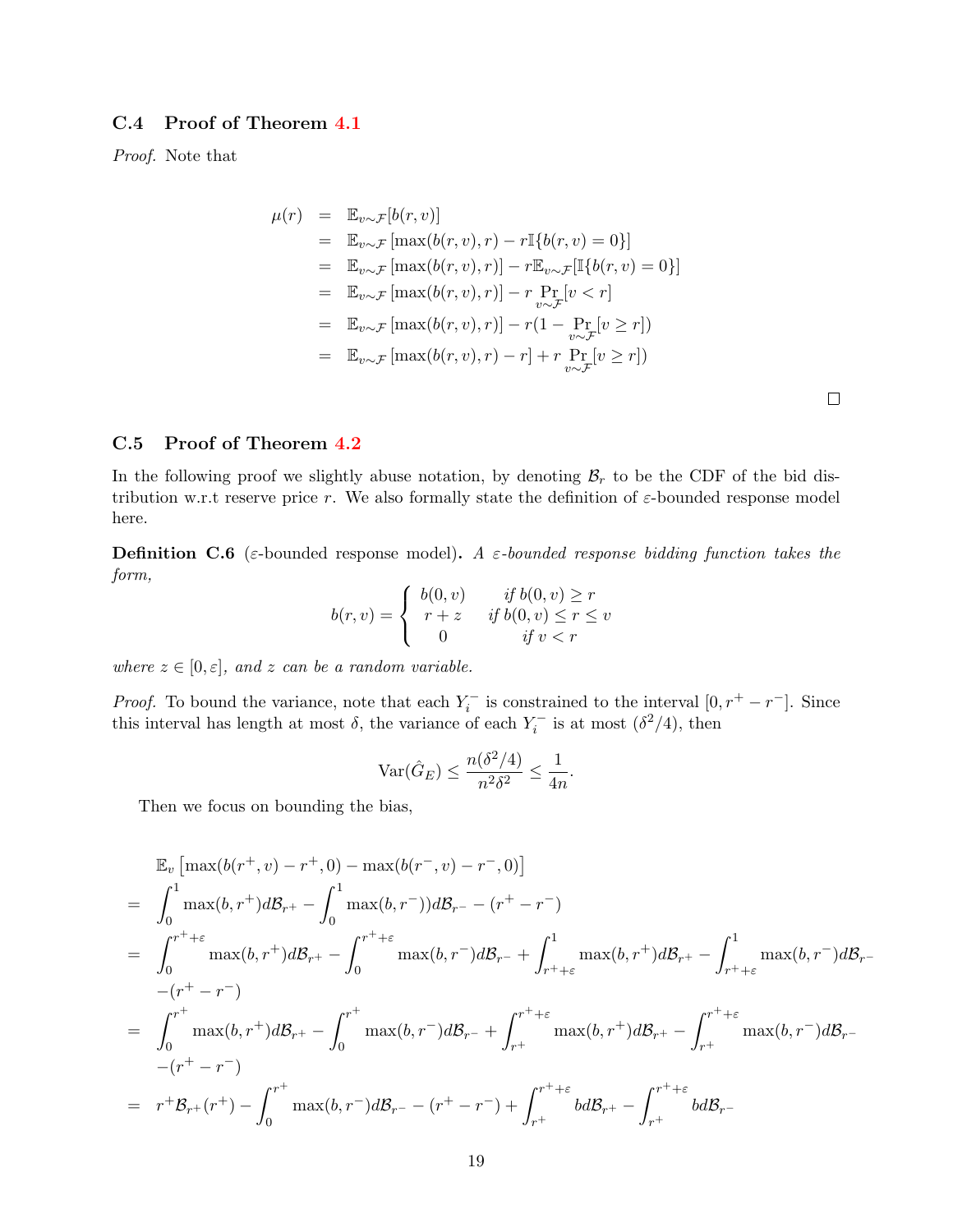### C.4 Proof of Theorem [4.1](#page-5-4)

Proof. Note that

$$
\mu(r) = \mathbb{E}_{v \sim \mathcal{F}}[b(r, v)]
$$
  
\n
$$
= \mathbb{E}_{v \sim \mathcal{F}}[\max(b(r, v), r) - r\mathbb{I}\{b(r, v) = 0\}]
$$
  
\n
$$
= \mathbb{E}_{v \sim \mathcal{F}}[\max(b(r, v), r)] - r\mathbb{E}_{v \sim \mathcal{F}}[\mathbb{I}\{b(r, v) = 0\}]
$$
  
\n
$$
= \mathbb{E}_{v \sim \mathcal{F}}[\max(b(r, v), r)] - r \Pr_{v \sim \mathcal{F}}[v < r]
$$
  
\n
$$
= \mathbb{E}_{v \sim \mathcal{F}}[\max(b(r, v), r)] - r(1 - \Pr_{v \sim \mathcal{F}}[v \ge r])
$$
  
\n
$$
= \mathbb{E}_{v \sim \mathcal{F}}[\max(b(r, v), r) - r] + r \Pr_{v \sim \mathcal{F}}[v \ge r])
$$

 $\Box$ 

### <span id="page-18-1"></span>C.5 Proof of Theorem [4.2](#page-7-3)

In the following proof we slightly abuse notation, by denoting  $\mathcal{B}_r$  to be the CDF of the bid distribution w.r.t reserve price r. We also formally state the definition of  $\varepsilon$ -bounded response model here.

<span id="page-18-0"></span>**Definition C.6** (*ε*-bounded response model). A *ε*-bounded response bidding function takes the form,

$$
b(r,v) = \begin{cases} b(0,v) & \text{if } b(0,v) \ge r \\ r+z & \text{if } b(0,v) \le r \le v \\ 0 & \text{if } v < r \end{cases}
$$

where  $z \in [0, \varepsilon]$ , and z can be a random variable.

*Proof.* To bound the variance, note that each  $Y_i^-$  is constrained to the interval  $[0, r^+ - r^-]$ . Since this interval has length at most  $\delta$ , the variance of each  $Y_i^-$  is at most  $(\delta^2/4)$ , then

$$
\text{Var}(\hat{G}_E) \le \frac{n(\delta^2/4)}{n^2 \delta^2} \le \frac{1}{4n}.
$$

Then we focus on bounding the bias,

$$
\mathbb{E}_{v} \left[ \max(b(r^{+}, v) - r^{+}, 0) - \max(b(r^{-}, v) - r^{-}, 0) \right]
$$
\n
$$
= \int_{0}^{1} \max(b, r^{+}) d\mathcal{B}_{r} + \int_{0}^{1} \max(b, r^{-}) d\mathcal{B}_{r} - (r^{+} - r^{-})
$$
\n
$$
= \int_{0}^{r^{+}+\varepsilon} \max(b, r^{+}) d\mathcal{B}_{r} + \int_{0}^{r^{+}+\varepsilon} \max(b, r^{-}) d\mathcal{B}_{r} - \int_{r^{+}+\varepsilon}^{1} \max(b, r^{+}) d\mathcal{B}_{r} + \int_{r^{+}+\varepsilon}^{1} \max(b, r^{+}) d\mathcal{B}_{r} - (r^{+} - r^{-})
$$
\n
$$
= \int_{0}^{r^{+}} \max(b, r^{+}) d\mathcal{B}_{r} + \int_{0}^{r^{+}} \max(b, r^{-}) d\mathcal{B}_{r} - \int_{r^{+}}^{r^{+}+\varepsilon} \max(b, r^{+}) d\mathcal{B}_{r} - (r^{+} - r^{-})
$$
\n
$$
= r^{+} \mathcal{B}_{r+}(r^{+}) - \int_{0}^{r^{+}} \max(b, r^{-}) d\mathcal{B}_{r} - (r^{+} - r^{-}) + \int_{r^{+}}^{r^{+}+\varepsilon} bd\mathcal{B}_{r} - \int_{r^{+}}^{r^{+}+\varepsilon} bd\mathcal{B}_{r} - (r^{+} - r^{-}) + \int_{r^{+}}^{r^{+}+\varepsilon} bd\mathcal{B}_{r} - (r^{+} - r^{-})
$$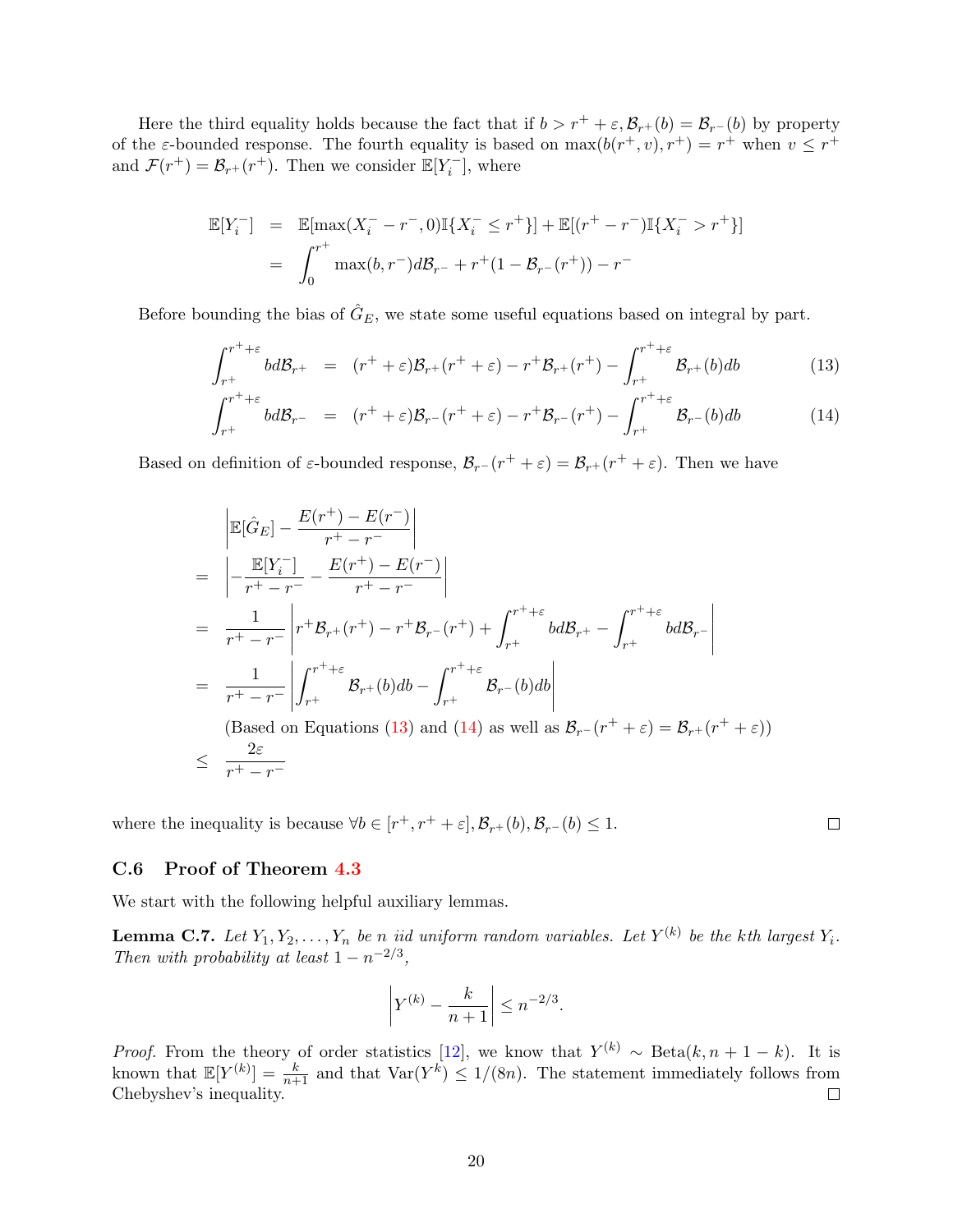Here the third equality holds because the fact that if  $b > r^+ + \varepsilon$ ,  $\mathcal{B}_{r^+}(b) = \mathcal{B}_{r^-}(b)$  by property of the  $\varepsilon$ -bounded response. The fourth equality is based on  $\max(b(r^+, v), r^+) = r^+$  when  $v \leq r^+$ and  $\mathcal{F}(r^+) = \mathcal{B}_{r^+}(r^+)$ . Then we consider  $\mathbb{E}[Y_i^-]$ , where

$$
\mathbb{E}[Y_i^-] = \mathbb{E}[\max(X_i^- - r^-, 0)\mathbb{I}\{X_i^- \le r^+\}] + \mathbb{E}[(r^+ - r^-)\mathbb{I}\{X_i^- > r^+\}]
$$
  
=  $\int_0^{r^+} \max(b, r^-) d\mathcal{B}_{r^-} + r^+(1 - \mathcal{B}_{r^-}(r^+)) - r^-$ 

Before bounding the bias of  $\hat{G}_E$ , we state some useful equations based on integral by part.

<span id="page-19-0"></span>
$$
\int_{r^+}^{r^+ + \varepsilon} b d\mathcal{B}_{r^+} = (r^+ + \varepsilon) \mathcal{B}_{r^+}(r^+ + \varepsilon) - r^+ \mathcal{B}_{r^+}(r^+) - \int_{r^+}^{r^+ + \varepsilon} \mathcal{B}_{r^+}(b) db \tag{13}
$$

$$
\int_{r^+}^{r^+ + \varepsilon} bd\mathcal{B}_{r-} = (r^+ + \varepsilon)\mathcal{B}_{r-}(r^+ + \varepsilon) - r^+\mathcal{B}_{r-}(r^+) - \int_{r^+}^{r^+ + \varepsilon} \mathcal{B}_{r-}(b)db \tag{14}
$$

Based on definition of  $\varepsilon$ -bounded response,  $\mathcal{B}_{r}$ - $(r^+ + \varepsilon) = \mathcal{B}_{r^+}(r^+ + \varepsilon)$ . Then we have

$$
\begin{aligned}\n&= \left| \mathbb{E}[\hat{G}_E] - \frac{E(r^+) - E(r^-)}{r^+ - r^-} \right| \\
&= \left| -\frac{\mathbb{E}[Y_i^-]}{r^+ - r^-} - \frac{E(r^+) - E(r^-)}{r^+ - r^-} \right| \\
&= \frac{1}{r^+ - r^-} \left| r^+ \mathcal{B}_{r^+}(r^+) - r^+ \mathcal{B}_{r^-}(r^+) + \int_{r^+}^{r^+ + \varepsilon} b d\mathcal{B}_{r^+} - \int_{r^+}^{r^+ + \varepsilon} b d\mathcal{B}_{r^-} \right| \\
&= \frac{1}{r^+ - r^-} \left| \int_{r^+}^{r^+ + \varepsilon} \mathcal{B}_{r^+}(b) db - \int_{r^+}^{r^+ + \varepsilon} \mathcal{B}_{r^-}(b) db \right| \\
&\text{(Based on Equations (13) and (14) as well as } \mathcal{B}_{r^-}(r^+ + \varepsilon) = \mathcal{B}_{r^+}(r^+ + \varepsilon)) \\
&\leq \frac{2\varepsilon}{r^+ - r^-}\n\end{aligned}
$$

where the inequality is because  $\forall b \in [r^+, r^+ + \varepsilon], \mathcal{B}_{r^+}(b), \mathcal{B}_{r^-}(b) \leq 1.$ 

 $\Box$ 

#### C.6 Proof of Theorem [4.3](#page-7-4)

We start with the following helpful auxiliary lemmas.

<span id="page-19-1"></span>**Lemma C.7.** Let  $Y_1, Y_2, \ldots, Y_n$  be n iid uniform random variables. Let  $Y^{(k)}$  be the kth largest  $Y_i$ . Then with probability at least  $1 - n^{-2/3}$ ,

$$
\left| Y^{(k)} - \frac{k}{n+1} \right| \le n^{-2/3}.
$$

*Proof.* From the theory of order statistics [\[12\]](#page-10-11), we know that  $Y^{(k)} \sim \text{Beta}(k, n + 1 - k)$ . It is known that  $\mathbb{E}[Y^{(k)}] = \frac{k}{n+1}$  and that  $\text{Var}(Y^k) \leq 1/(8n)$ . The statement immediately follows from Chebyshev's inequality.  $\Box$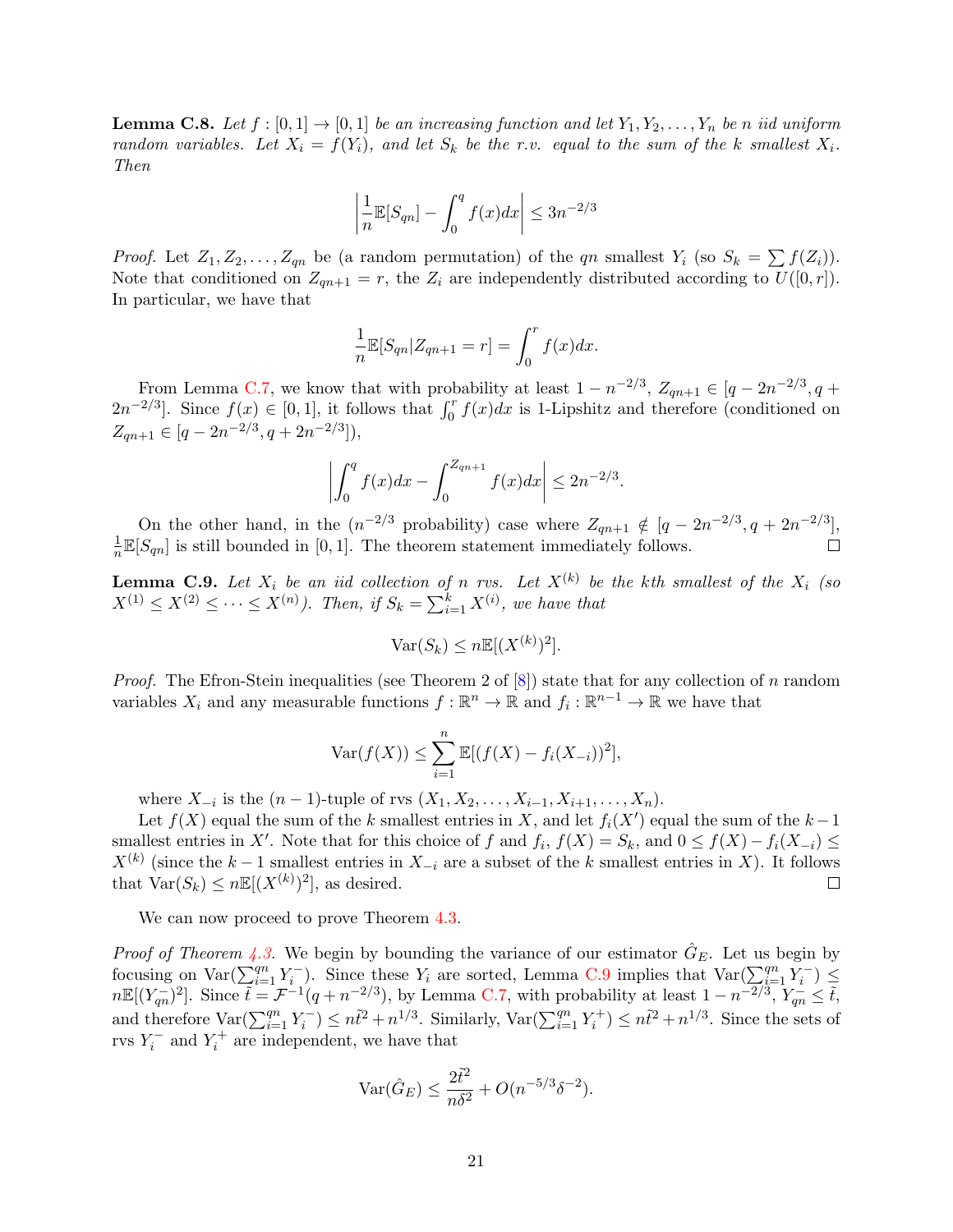<span id="page-20-1"></span>**Lemma C.8.** Let  $f : [0,1] \to [0,1]$  be an increasing function and let  $Y_1, Y_2, \ldots, Y_n$  be n iid uniform random variables. Let  $X_i = f(Y_i)$ , and let  $S_k$  be the r.v. equal to the sum of the k smallest  $X_i$ . Then

$$
\left|\frac{1}{n}\mathbb{E}[S_{qn}] - \int_0^q f(x)dx\right| \le 3n^{-2/3}
$$

*Proof.* Let  $Z_1, Z_2, \ldots, Z_{qn}$  be (a random permutation) of the qn smallest  $Y_i$  (so  $S_k = \sum f(Z_i)$ ). Note that conditioned on  $Z_{qn+1} = r$ , the  $Z_i$  are independently distributed according to  $U([0, r])$ . In particular, we have that

$$
\frac{1}{n}\mathbb{E}[S_{qn}|Z_{qn+1}=r] = \int_0^r f(x)dx.
$$

From Lemma [C.7,](#page-19-1) we know that with probability at least  $1 - n^{-2/3}$ ,  $Z_{qn+1} \in [q - 2n^{-2/3}, q +$  $2n^{-2/3}$ . Since  $f(x) \in [0,1]$ , it follows that  $\int_0^r f(x)dx$  is 1-Lipshitz and therefore (conditioned on  $Z_{qn+1} \in [q-2n^{-2/3}, q+2n^{-2/3}]),$ 

$$
\left| \int_0^q f(x)dx - \int_0^{Z_{qn+1}} f(x)dx \right| \le 2n^{-2/3}.
$$

On the other hand, in the  $(n^{-2/3} \text{ probability})$  case where  $Z_{qn+1} \notin [q - 2n^{-2/3}, q + 2n^{-2/3}],$ 1  $\frac{1}{n} \mathbb{E}[S_{qn}]$  is still bounded in [0, 1]. The theorem statement immediately follows.

<span id="page-20-0"></span>**Lemma C.9.** Let  $X_i$  be an iid collection of n rvs. Let  $X^{(k)}$  be the kth smallest of the  $X_i$  (so  $X^{(1)} \leq X^{(2)} \leq \cdots \leq X^{(n)}$ ). Then, if  $S_k = \sum_{i=1}^k X^{(i)}$ , we have that

$$
\text{Var}(S_k) \le n \mathbb{E}[(X^{(k)})^2].
$$

*Proof.* The Efron-Stein inequalities (see Theorem 2 of  $[8]$ ) state that for any collection of n random variables  $X_i$  and any measurable functions  $f: \mathbb{R}^n \to \mathbb{R}$  and  $f_i: \mathbb{R}^{n-1} \to \mathbb{R}$  we have that

$$
\text{Var}(f(X)) \le \sum_{i=1}^{n} \mathbb{E}[(f(X) - f_i(X_{-i}))^2],
$$

where  $X_{-i}$  is the  $(n-1)$ -tuple of rvs  $(X_1, X_2, \ldots, X_{i-1}, X_{i+1}, \ldots, X_n)$ .

Let  $f(X)$  equal the sum of the k smallest entries in X, and let  $f_i(X')$  equal the sum of the  $k-1$ smallest entries in X'. Note that for this choice of f and  $f_i$ ,  $f(X) = S_k$ , and  $0 \le f(X) - f_i(X_{-i}) \le$  $X^{(k)}$  (since the  $k-1$  smallest entries in  $X_{-i}$  are a subset of the k smallest entries in X). It follows that  $Var(S_k) \leq n \mathbb{E}[(X^{(k)})^2]$ , as desired.  $\Box$ 

We can now proceed to prove Theorem [4.3.](#page-7-4)

*Proof of Theorem [4.3.](#page-7-4)* We begin by bounding the variance of our estimator  $\hat{G}_E$ . Let us begin by focusing on  $\text{Var}(\sum_{i=1}^{qn} Y_i^-)$ . Since these  $Y_i$  are sorted, Lemma [C.9](#page-20-0) implies that  $\text{Var}(\sum_{i=1}^{qn} Y_i^-) \leq$  $n\mathbb{E}[(Y_{qn}^-)^2]$ . Since  $\tilde{t} = \mathcal{F}^{-1}(q + n^{-2/3})$ , by Lemma [C.7,](#page-19-1) with probability at least  $1 - n^{-2/3}$ ,  $Y_{qn}^- \leq \tilde{t}$ , and therefore  $\text{Var}(\sum_{i=1}^{qn} Y_i^{-}) \leq n\tilde{t}^2 + n^{1/3}$ . Similarly,  $\text{Var}(\sum_{i=1}^{qn} Y_i^{+}) \leq n\tilde{t}^2 + n^{1/3}$ . Since the sets of rvs  $Y_i^-$  and  $Y_i^+$  are independent, we have that

$$
\text{Var}(\hat{G}_E) \le \frac{2\tilde{t}^2}{n\delta^2} + O(n^{-5/3}\delta^{-2}).
$$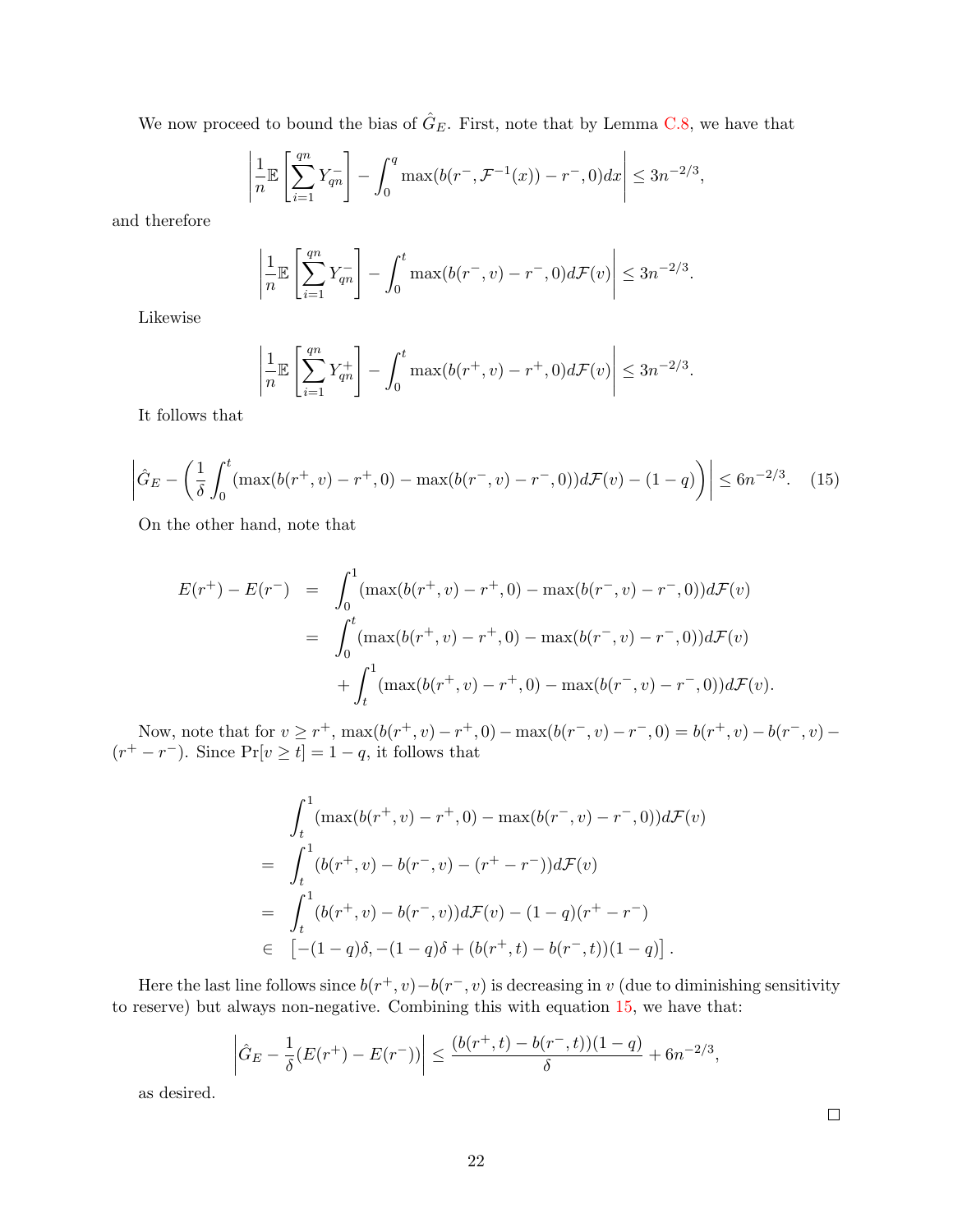We now proceed to bound the bias of  $\hat{G}_E$ . First, note that by Lemma [C.8,](#page-20-1) we have that

$$
\left| \frac{1}{n} \mathbb{E} \left[ \sum_{i=1}^{qn} Y_{qn}^{-} \right] - \int_0^q \max(b(r^-, \mathcal{F}^{-1}(x)) - r^-, 0) dx \right| \le 3n^{-2/3},
$$

and therefore

$$
\left|\frac{1}{n}\mathbb{E}\left[\sum_{i=1}^{qn}Y_{qn}^{-}\right]-\int_0^t \max(b(r^-,v)-r^-,0)d\mathcal{F}(v)\right|\leq 3n^{-2/3}.
$$

Likewise

$$
\left|\frac{1}{n}\mathbb{E}\left[\sum_{i=1}^{qn}Y_{qn}^+\right]-\int_0^t \max(b(r^+,v)-r^+,0)d\mathcal{F}(v)\right|\leq 3n^{-2/3}.
$$

<span id="page-21-0"></span>It follows that

$$
\left| \hat{G}_E - \left( \frac{1}{\delta} \int_0^t (\max(b(r^+, v) - r^+, 0) - \max(b(r^-, v) - r^-, 0)) d\mathcal{F}(v) - (1 - q) \right) \right| \le 6n^{-2/3}.
$$
 (15)

On the other hand, note that

$$
E(r^{+}) - E(r^{-}) = \int_{0}^{1} (\max(b(r^{+}, v) - r^{+}, 0) - \max(b(r^{-}, v) - r^{-}, 0)) d\mathcal{F}(v)
$$
  
= 
$$
\int_{0}^{t} (\max(b(r^{+}, v) - r^{+}, 0) - \max(b(r^{-}, v) - r^{-}, 0)) d\mathcal{F}(v)
$$
  
+ 
$$
\int_{t}^{1} (\max(b(r^{+}, v) - r^{+}, 0) - \max(b(r^{-}, v) - r^{-}, 0)) d\mathcal{F}(v).
$$

Now, note that for  $v \geq r^+$ ,  $\max(b(r^+, v) - r^+, 0) - \max(b(r^-, v) - r^-, 0) = b(r^+, v) - b(r^-, v) (r^+ - r^-)$ . Since  $Pr[v \ge t] = 1 - q$ , it follows that

$$
\int_{t}^{1} (\max(b(r^{+}, v) - r^{+}, 0) - \max(b(r^{-}, v) - r^{-}, 0)) d\mathcal{F}(v)
$$
\n
$$
= \int_{t}^{1} (b(r^{+}, v) - b(r^{-}, v) - (r^{+} - r^{-})) d\mathcal{F}(v)
$$
\n
$$
= \int_{t}^{1} (b(r^{+}, v) - b(r^{-}, v)) d\mathcal{F}(v) - (1 - q)(r^{+} - r^{-})
$$
\n
$$
\in [-(1 - q)\delta, -(1 - q)\delta + (b(r^{+}, t) - b(r^{-}, t))(1 - q)].
$$

Here the last line follows since  $b(r^+, v) - b(r^-, v)$  is decreasing in v (due to diminishing sensitivity to reserve) but always non-negative. Combining this with equation [15,](#page-21-0) we have that:

$$
\left| \hat{G}_E - \frac{1}{\delta} (E(r^+) - E(r^-)) \right| \le \frac{(b(r^+, t) - b(r^-, t))(1-q)}{\delta} + 6n^{-2/3},
$$

as desired.

 $\Box$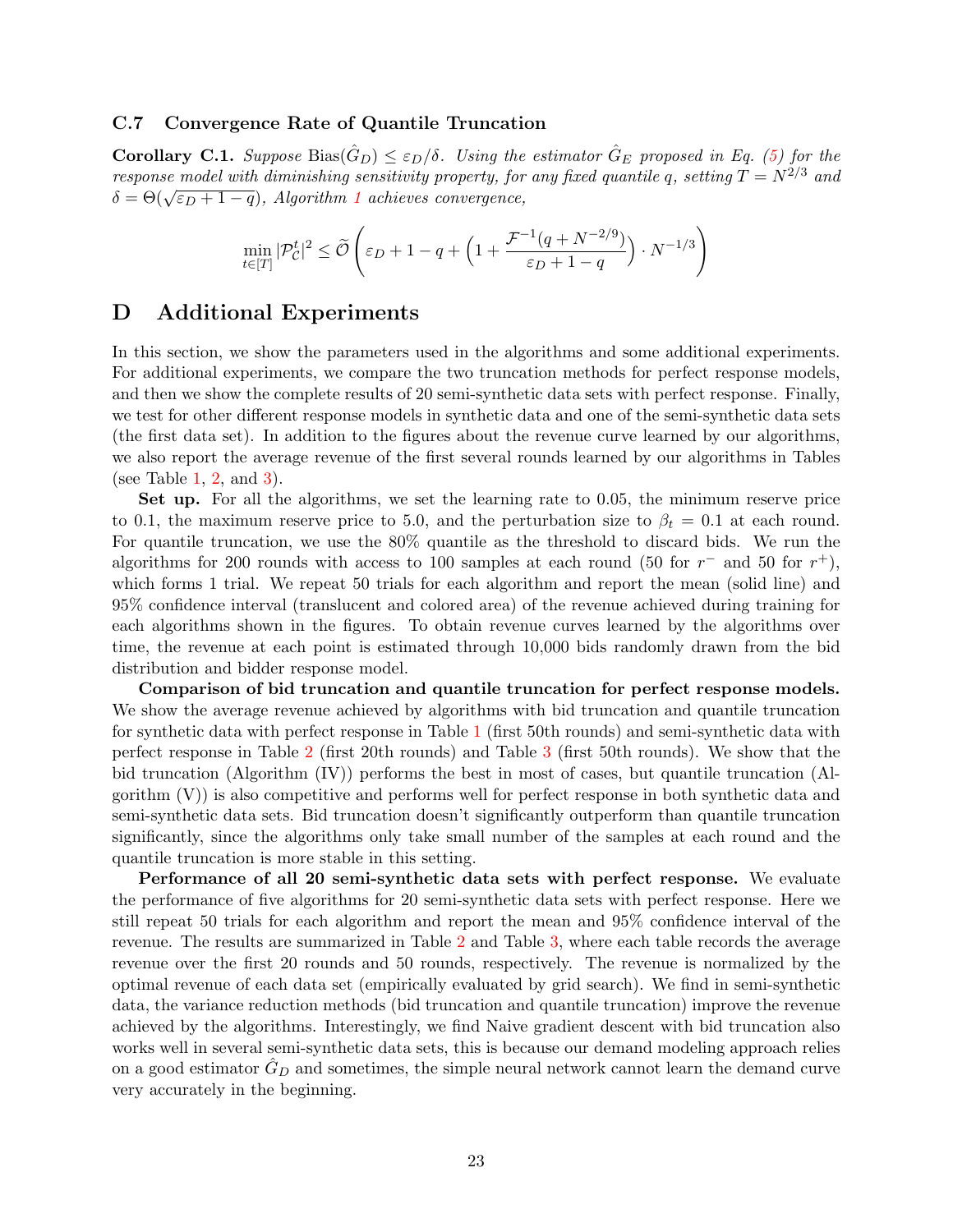#### <span id="page-22-1"></span>C.7 Convergence Rate of Quantile Truncation

<span id="page-22-0"></span>**Corollary C.1.** Suppose Bias $(\hat{G}_D) \leq \varepsilon_D/\delta$ . Using the estimator  $\hat{G}_E$  proposed in Eq. [\(5\)](#page-7-1) for the response model with diminishing sensitivity property, for any fixed quantile q, setting  $T = N^{2/3}$  and *δ* =  $\Theta(\sqrt{\epsilon_D+1-q})$  $\Theta(\sqrt{\epsilon_D+1-q})$  $\Theta(\sqrt{\epsilon_D+1-q})$ , *Algorithm 1 achieves convergence*,

$$
\min_{t \in [T]} |\mathcal{P}_\mathcal{C}^t|^2 \le \widetilde{\mathcal{O}}\left(\varepsilon_D + 1 - q + \left(1 + \frac{\mathcal{F}^{-1}(q + N^{-2/9})}{\varepsilon_D + 1 - q}\right) \cdot N^{-1/3}\right)
$$

### <span id="page-22-2"></span>D Additional Experiments

In this section, we show the parameters used in the algorithms and some additional experiments. For additional experiments, we compare the two truncation methods for perfect response models, and then we show the complete results of 20 semi-synthetic data sets with perfect response. Finally, we test for other different response models in synthetic data and one of the semi-synthetic data sets (the first data set). In addition to the figures about the revenue curve learned by our algorithms, we also report the average revenue of the first several rounds learned by our algorithms in Tables (see Table [1,](#page-23-0) [2,](#page-24-0) and [3\)](#page-25-0).

Set up. For all the algorithms, we set the learning rate to 0.05, the minimum reserve price to 0.1, the maximum reserve price to 5.0, and the perturbation size to  $\beta_t = 0.1$  at each round. For quantile truncation, we use the 80% quantile as the threshold to discard bids. We run the algorithms for 200 rounds with access to 100 samples at each round (50 for  $r^-$  and 50 for  $r^+$ ), which forms 1 trial. We repeat 50 trials for each algorithm and report the mean (solid line) and 95% confidence interval (translucent and colored area) of the revenue achieved during training for each algorithms shown in the figures. To obtain revenue curves learned by the algorithms over time, the revenue at each point is estimated through 10,000 bids randomly drawn from the bid distribution and bidder response model.

Comparison of bid truncation and quantile truncation for perfect response models. We show the average revenue achieved by algorithms with bid truncation and quantile truncation for synthetic data with perfect response in Table [1](#page-23-0) (first 50th rounds) and semi-synthetic data with perfect response in Table [2](#page-24-0) (first 20th rounds) and Table [3](#page-25-0) (first 50th rounds). We show that the bid truncation (Algorithm (IV)) performs the best in most of cases, but quantile truncation (Algorithm (V)) is also competitive and performs well for perfect response in both synthetic data and semi-synthetic data sets. Bid truncation doesn't significantly outperform than quantile truncation significantly, since the algorithms only take small number of the samples at each round and the quantile truncation is more stable in this setting.

Performance of all 20 semi-synthetic data sets with perfect response. We evaluate the performance of five algorithms for 20 semi-synthetic data sets with perfect response. Here we still repeat 50 trials for each algorithm and report the mean and 95% confidence interval of the revenue. The results are summarized in Table [2](#page-24-0) and Table [3,](#page-25-0) where each table records the average revenue over the first 20 rounds and 50 rounds, respectively. The revenue is normalized by the optimal revenue of each data set (empirically evaluated by grid search). We find in semi-synthetic data, the variance reduction methods (bid truncation and quantile truncation) improve the revenue achieved by the algorithms. Interestingly, we find Naive gradient descent with bid truncation also works well in several semi-synthetic data sets, this is because our demand modeling approach relies on a good estimator  $G_D$  and sometimes, the simple neural network cannot learn the demand curve very accurately in the beginning.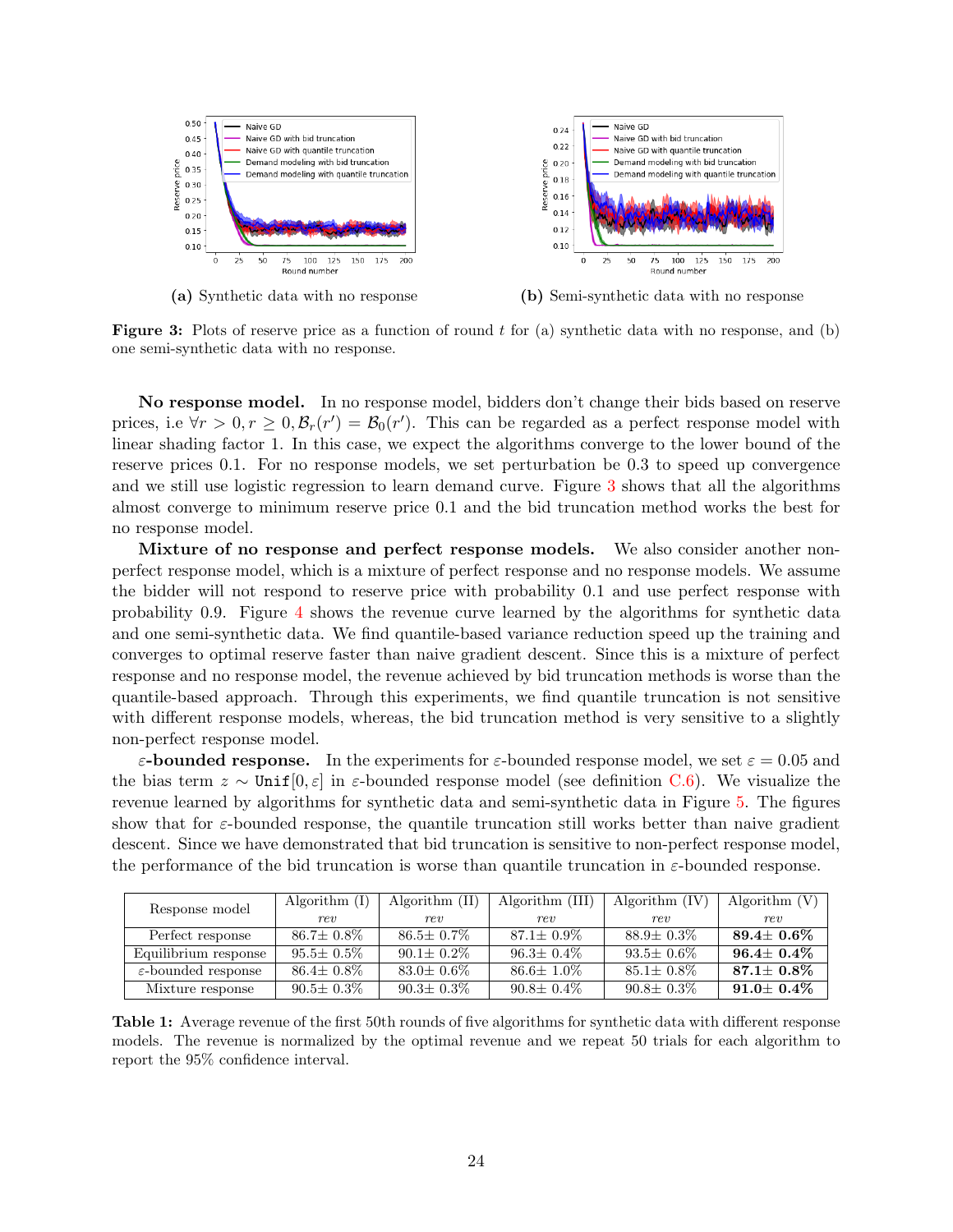<span id="page-23-1"></span>

(a) Synthetic data with no response (b) Semi-synthetic data with no response

**Figure 3:** Plots of reserve price as a function of round  $t$  for (a) synthetic data with no response, and (b) one semi-synthetic data with no response.

No response model. In no response model, bidders don't change their bids based on reserve prices, i.e  $\forall r > 0, r \geq 0, \mathcal{B}_r(r') = \mathcal{B}_0(r')$ . This can be regarded as a perfect response model with linear shading factor 1. In this case, we expect the algorithms converge to the lower bound of the reserve prices 0.1. For no response models, we set perturbation be 0.3 to speed up convergence and we still use logistic regression to learn demand curve. Figure [3](#page-23-1) shows that all the algorithms almost converge to minimum reserve price 0.1 and the bid truncation method works the best for no response model.

Mixture of no response and perfect response models. We also consider another nonperfect response model, which is a mixture of perfect response and no response models. We assume the bidder will not respond to reserve price with probability 0.1 and use perfect response with probability 0.9. Figure [4](#page-24-1) shows the revenue curve learned by the algorithms for synthetic data and one semi-synthetic data. We find quantile-based variance reduction speed up the training and converges to optimal reserve faster than naive gradient descent. Since this is a mixture of perfect response and no response model, the revenue achieved by bid truncation methods is worse than the quantile-based approach. Through this experiments, we find quantile truncation is not sensitive with different response models, whereas, the bid truncation method is very sensitive to a slightly non-perfect response model.

ε-**bounded response.** In the experiments for ε-bounded response model, we set  $ε = 0.05$  and the bias term  $z \sim \text{Unif}[0, \varepsilon]$  in  $\varepsilon$ -bounded response model (see definition [C.6\)](#page-18-0). We visualize the revenue learned by algorithms for synthetic data and semi-synthetic data in Figure [5.](#page-24-2) The figures show that for  $\varepsilon$ -bounded response, the quantile truncation still works better than naive gradient descent. Since we have demonstrated that bid truncation is sensitive to non-perfect response model, the performance of the bid truncation is worse than quantile truncation in  $\varepsilon$ -bounded response.

<span id="page-23-0"></span>

| Response model                  | Algorithm $(I)$ | Algorithm $(II)$ | Algorithm (III)  | Algorithm (IV)   | Algorithm $(V)$   |
|---------------------------------|-----------------|------------------|------------------|------------------|-------------------|
|                                 | rev             | rev              | rev              | rev              | rev               |
| Perfect response                | $86.7 + 0.8\%$  | $86.5 \pm 0.7\%$ | $87.1 \pm 0.9\%$ | $88.9 + 0.3\%$   | $89.4 \pm 0.6 \%$ |
| Equilibrium response            | $95.5 + 0.5\%$  | $90.1 \pm 0.2\%$ | $96.3 \pm 0.4\%$ | $93.5 \pm 0.6\%$ | $96.4 \pm 0.4\%$  |
| $\varepsilon$ -bounded response | $86.4 + 0.8\%$  | $83.0 \pm 0.6\%$ | $86.6 \pm 1.0\%$ | $85.1 \pm 0.8\%$ | $87.1\pm\,0.8\%$  |
| Mixture response                | $90.5 + 0.3\%$  | $90.3 \pm 0.3\%$ | $90.8 + 0.4\%$   | $90.8 \pm 0.3\%$ | $91.0 \pm 0.4\%$  |

Table 1: Average revenue of the first 50th rounds of five algorithms for synthetic data with different response models. The revenue is normalized by the optimal revenue and we repeat 50 trials for each algorithm to report the 95% confidence interval.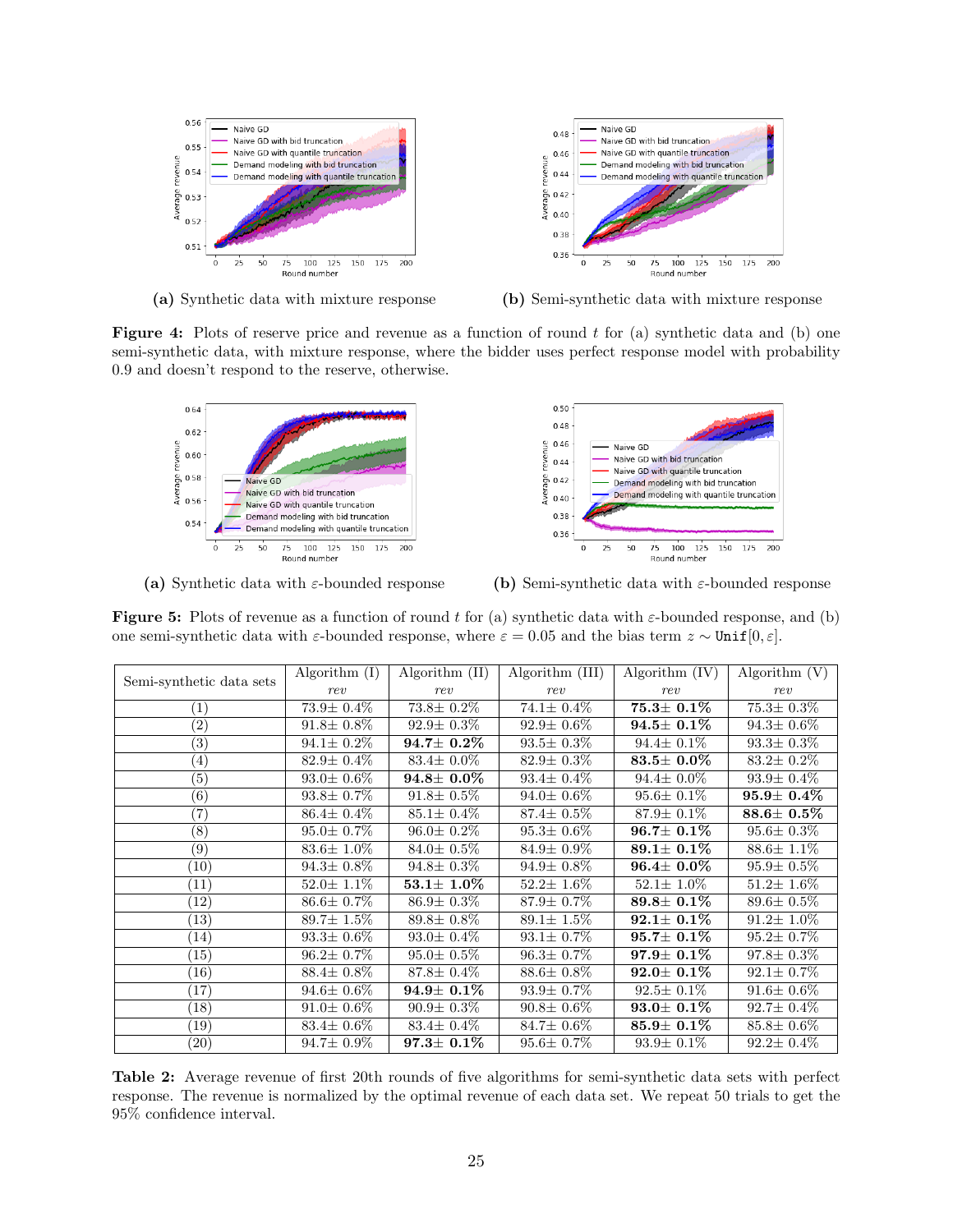<span id="page-24-1"></span>

(a) Synthetic data with mixture response (b) Semi-synthetic data with mixture response

Figure 4: Plots of reserve price and revenue as a function of round t for (a) synthetic data and (b) one semi-synthetic data, with mixture response, where the bidder uses perfect response model with probability 0.9 and doesn't respond to the reserve, otherwise.

<span id="page-24-2"></span>

(a) Synthetic data with  $\varepsilon$ -bounded response (b) Semi-synthetic data with  $\varepsilon$ -bounded response

<span id="page-24-0"></span>

| one semi-symmetre aasa with a sounded response, where $\epsilon = 0.05$ and the shas term $\omega = 0.12$ |                  |                  |                  |                  |                  |
|-----------------------------------------------------------------------------------------------------------|------------------|------------------|------------------|------------------|------------------|
| Semi-synthetic data sets                                                                                  | Algorithm $(I)$  | Algorithm $(II)$ | Algorithm (III)  | Algorithm $(IV)$ | Algorithm $(V)$  |
|                                                                                                           | rev              | rev              | rev              | rev              | rev              |
| $\left( 1\right)$                                                                                         | $73.9 \pm 0.4\%$ | $73.8 \pm 0.2\%$ | $74.1 \pm 0.4\%$ | $75.3 \pm 0.1\%$ | $75.3 \pm 0.3\%$ |
| (2)                                                                                                       | $91.8 \pm 0.8\%$ | $92.9 \pm 0.3\%$ | $92.9 \pm 0.6\%$ | $94.5 \pm 0.1\%$ | $94.3 \pm 0.6\%$ |
| $\left( 3\right)$                                                                                         | $94.1 \pm 0.2\%$ | $94.7 \pm 0.2\%$ | $93.5 \pm 0.3\%$ | $94.4 \pm 0.1\%$ | $93.3 \pm 0.3\%$ |
| $\left( 4\right)$                                                                                         | $82.9 \pm 0.4\%$ | $83.4 \pm 0.0\%$ | $82.9 \pm 0.3\%$ | $83.5 \pm 0.0\%$ | $83.2 \pm 0.2\%$ |
| (5)                                                                                                       | $93.0 \pm 0.6\%$ | $94.8\pm\,0.0\%$ | $93.4 \pm 0.4\%$ | $94.4 \pm 0.0\%$ | $93.9 \pm 0.4\%$ |
| $\left( 6\right)$                                                                                         | $93.8 \pm 0.7\%$ | $91.8 \pm 0.5\%$ | $94.0 \pm 0.6\%$ | $95.6 \pm 0.1\%$ | $95.9 \pm 0.4\%$ |
| (7)                                                                                                       | $86.4 \pm 0.4\%$ | $85.1 \pm 0.4\%$ | $87.4 \pm 0.5\%$ | $87.9 \pm 0.1\%$ | $88.6 \pm 0.5\%$ |
| (8)                                                                                                       | $95.0 \pm 0.7\%$ | $96.0 \pm 0.2\%$ | $95.3 \pm 0.6\%$ | $96.7 \pm 0.1\%$ | $95.6 \pm 0.3\%$ |
| $\left( 9\right)$                                                                                         | $83.6 \pm 1.0\%$ | $84.0 \pm 0.5\%$ | $84.9 \pm 0.9\%$ | $89.1 \pm 0.1\%$ | $88.6 \pm 1.1\%$ |
| (10)                                                                                                      | $94.3 \pm 0.8\%$ | $94.8 \pm 0.3\%$ | $94.9 \pm 0.8\%$ | $96.4 \pm 0.0\%$ | $95.9 \pm 0.5\%$ |
| (11)                                                                                                      | $52.0 \pm 1.1\%$ | $53.1\pm\,1.0\%$ | $52.2 \pm 1.6\%$ | $52.1 \pm 1.0\%$ | $51.2 \pm 1.6\%$ |
| (12)                                                                                                      | $86.6 \pm 0.7\%$ | $86.9 \pm 0.3\%$ | $87.9 \pm 0.7\%$ | $89.8 \pm 0.1\%$ | $89.6 \pm 0.5\%$ |
| (13)                                                                                                      | $89.7 \pm 1.5\%$ | $89.8 \pm 0.8\%$ | $89.1 \pm 1.5\%$ | $92.1 \pm 0.1\%$ | $91.2 \pm 1.0\%$ |

 $(14)$  93.3 $\pm$  0.6% 93.0 $\pm$  0.4% 93.1 $\pm$  0.7% 95.7 $\pm$  0.1% 95.2 $\pm$  0.7% (15) 96.2± 0.7% 95.0± 0.5% 96.3± 0.7% 97.9± 0.1% 97.8± 0.3% (16) 88.4 $\pm$  0.8% 87.8 $\pm$  0.4% 88.6 $\pm$  0.8% **92.0** $\pm$  0.1% 92.1 $\pm$  0.7%  $(17)$  94.6± 0.6% **94.9± 0.1%** 93.9± 0.7% 92.5± 0.1% 91.6± 0.6% (18) 91.0±  $0.6\%$  90.9±  $0.3\%$  90.8±  $0.6\%$  93.0±  $0.1\%$  92.7±  $0.4\%$ (19)  $83.4 \pm 0.6\%$   $83.4 \pm 0.4\%$   $84.7 \pm 0.6\%$   $85.9 \pm 0.1\%$   $85.8 \pm 0.6\%$  $(20)$  94.7± 0.9% 97.3± 0.1% 95.6± 0.7% 93.9± 0.1% 92.2± 0.4%

**Figure 5:** Plots of revenue as a function of round t for (a) synthetic data with  $\varepsilon$ -bounded response, and (b) one semi-synthetic data with  $\varepsilon$ -bounded response, where  $\varepsilon = 0.05$  and the bias term  $z \sim \text{Unif}[0, \varepsilon]$ .

| <b>Table 2:</b> Average revenue of first 20th rounds of five algorithms for semi-synthetic data sets with perfect |
|-------------------------------------------------------------------------------------------------------------------|
| response. The revenue is normalized by the optimal revenue of each data set. We repeat 50 trials to get the       |
| 95\% confidence interval.                                                                                         |